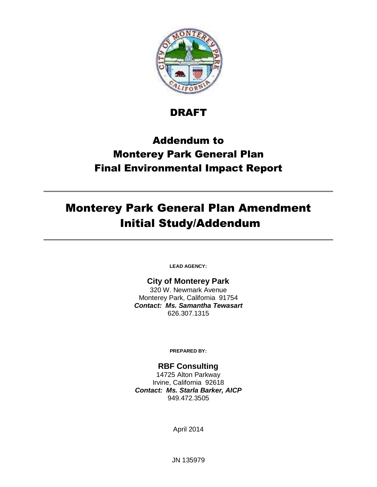

# DRAFT

# Addendum to Monterey Park General Plan Final Environmental Impact Report

# Monterey Park General Plan Amendment Initial Study/Addendum

**LEAD AGENCY:**

**City of Monterey Park** 320 W. Newmark Avenue Monterey Park, California 91754 *Contact: Ms. Samantha Tewasart* 626.307.1315

**PREPARED BY:**

**RBF Consulting** 14725 Alton Parkway Irvine, California 92618 *Contact: Ms. Starla Barker, AICP* 949.472.3505

April 2014

JN 135979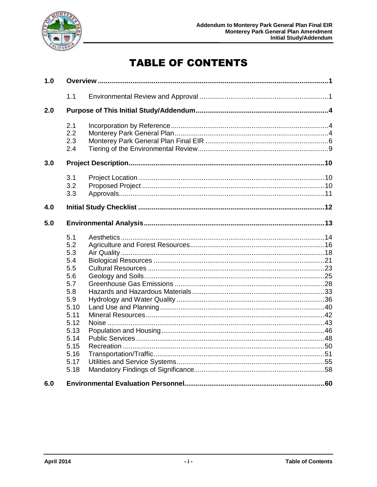

# **TABLE OF CONTENTS**

| 1.0 |      |  |
|-----|------|--|
|     | 1.1  |  |
| 2.0 |      |  |
|     | 2.1  |  |
|     | 2.2  |  |
|     | 2.3  |  |
|     | 2.4  |  |
| 3.0 |      |  |
|     | 3.1  |  |
|     | 3.2  |  |
|     | 3.3  |  |
| 4.0 |      |  |
| 5.0 |      |  |
|     | 5.1  |  |
|     | 5.2  |  |
|     | 5.3  |  |
|     | 5.4  |  |
|     | 5.5  |  |
|     | 5.6  |  |
|     | 5.7  |  |
|     | 5.8  |  |
|     | 5.9  |  |
|     | 5.10 |  |
|     | 5.11 |  |
|     | 5.12 |  |
|     | 5.13 |  |
|     | 5.14 |  |
|     | 5.15 |  |
|     | 5.16 |  |
|     | 5.17 |  |
|     | 5.18 |  |
| 6.0 |      |  |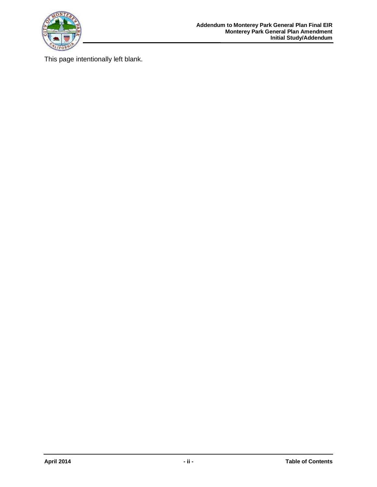

This page intentionally left blank.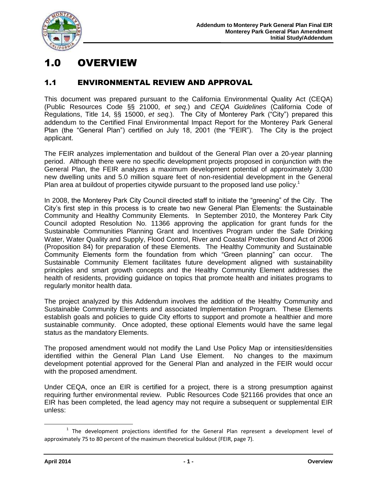

# 1.0 OVERVIEW

# 1.1 ENVIRONMENTAL REVIEW AND APPROVAL

This document was prepared pursuant to the California Environmental Quality Act (CEQA) (Public Resources Code §§ 21000, *et seq*.) and *CEQA Guidelines* (California Code of Regulations, Title 14, §§ 15000, *et seq*.). The City of Monterey Park ("City") prepared this addendum to the Certified Final Environmental Impact Report for the Monterey Park General Plan (the "General Plan") certified on July 18, 2001 (the "FEIR"). The City is the project applicant.

The FEIR analyzes implementation and buildout of the General Plan over a 20-year planning period. Although there were no specific development projects proposed in conjunction with the General Plan, the FEIR analyzes a maximum development potential of approximately 3,030 new dwelling units and 5.0 million square feet of non-residential development in the General Plan area at buildout of properties citywide pursuant to the proposed land use policy.<sup>1</sup>

In 2008, the Monterey Park City Council directed staff to initiate the "greening" of the City. The City's first step in this process is to create two new General Plan Elements: the Sustainable Community and Healthy Community Elements. In September 2010, the Monterey Park City Council adopted Resolution No. 11366 approving the application for grant funds for the Sustainable Communities Planning Grant and Incentives Program under the Safe Drinking Water, Water Quality and Supply, Flood Control, River and Coastal Protection Bond Act of 2006 (Proposition 84) for preparation of these Elements. The Healthy Community and Sustainable Community Elements form the foundation from which "Green planning" can occur. The Sustainable Community Element facilitates future development aligned with sustainability principles and smart growth concepts and the Healthy Community Element addresses the health of residents, providing guidance on topics that promote health and initiates programs to regularly monitor health data.

The project analyzed by this Addendum involves the addition of the Healthy Community and Sustainable Community Elements and associated Implementation Program. These Elements establish goals and policies to guide City efforts to support and promote a healthier and more sustainable community. Once adopted, these optional Elements would have the same legal status as the mandatory Elements.

The proposed amendment would not modify the Land Use Policy Map or intensities/densities identified within the General Plan Land Use Element. No changes to the maximum development potential approved for the General Plan and analyzed in the FEIR would occur with the proposed amendment.

Under CEQA, once an EIR is certified for a project, there is a strong presumption against requiring further environmental review. Public Resources Code §21166 provides that once an EIR has been completed, the lead agency may not require a subsequent or supplemental EIR unless:

 $\overline{\phantom{a}}$ 

 $1$  The development projections identified for the General Plan represent a development level of approximately 75 to 80 percent of the maximum theoretical buildout (FEIR, page 7).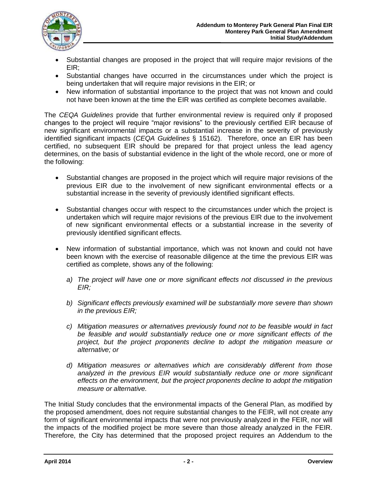

- Substantial changes are proposed in the project that will require major revisions of the EIR;
- Substantial changes have occurred in the circumstances under which the project is being undertaken that will require major revisions in the EIR; or
- New information of substantial importance to the project that was not known and could not have been known at the time the EIR was certified as complete becomes available.

The *CEQA Guidelines* provide that further environmental review is required only if proposed changes to the project will require "major revisions" to the previously certified EIR because of new significant environmental impacts or a substantial increase in the severity of previously identified significant impacts (*CEQA Guidelines* § 15162). Therefore, once an EIR has been certified, no subsequent EIR should be prepared for that project unless the lead agency determines, on the basis of substantial evidence in the light of the whole record, one or more of the following:

- Substantial changes are proposed in the project which will require major revisions of the previous EIR due to the involvement of new significant environmental effects or a substantial increase in the severity of previously identified significant effects.
- Substantial changes occur with respect to the circumstances under which the project is undertaken which will require major revisions of the previous EIR due to the involvement of new significant environmental effects or a substantial increase in the severity of previously identified significant effects.
- New information of substantial importance, which was not known and could not have been known with the exercise of reasonable diligence at the time the previous EIR was certified as complete, shows any of the following:
	- *a) The project will have one or more significant effects not discussed in the previous EIR;*
	- *b) Significant effects previously examined will be substantially more severe than shown in the previous EIR;*
	- *c) Mitigation measures or alternatives previously found not to be feasible would in fact be feasible and would substantially reduce one or more significant effects of the project, but the project proponents decline to adopt the mitigation measure or alternative; or*
	- *d) Mitigation measures or alternatives which are considerably different from those analyzed in the previous EIR would substantially reduce one or more significant effects on the environment, but the project proponents decline to adopt the mitigation measure or alternative.*

The Initial Study concludes that the environmental impacts of the General Plan, as modified by the proposed amendment, does not require substantial changes to the FEIR, will not create any form of significant environmental impacts that were not previously analyzed in the FEIR, nor will the impacts of the modified project be more severe than those already analyzed in the FEIR. Therefore, the City has determined that the proposed project requires an Addendum to the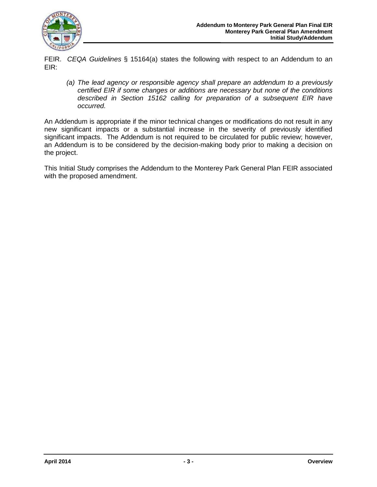

FEIR. *CEQA Guidelines* § 15164(a) states the following with respect to an Addendum to an EIR:

*(a) The lead agency or responsible agency shall prepare an addendum to a previously certified EIR if some changes or additions are necessary but none of the conditions described in Section 15162 calling for preparation of a subsequent EIR have occurred.* 

An Addendum is appropriate if the minor technical changes or modifications do not result in any new significant impacts or a substantial increase in the severity of previously identified significant impacts. The Addendum is not required to be circulated for public review; however, an Addendum is to be considered by the decision-making body prior to making a decision on the project.

This Initial Study comprises the Addendum to the Monterey Park General Plan FEIR associated with the proposed amendment.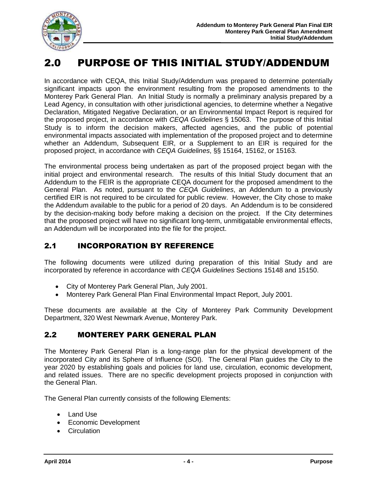

# 2.0 PURPOSE OF THIS INITIAL STUDY/ADDENDUM

In accordance with CEQA, this Initial Study/Addendum was prepared to determine potentially significant impacts upon the environment resulting from the proposed amendments to the Monterey Park General Plan. An Initial Study is normally a preliminary analysis prepared by a Lead Agency, in consultation with other jurisdictional agencies, to determine whether a Negative Declaration, Mitigated Negative Declaration, or an Environmental Impact Report is required for the proposed project, in accordance with *CEQA Guidelines* § 15063. The purpose of this Initial Study is to inform the decision makers, affected agencies, and the public of potential environmental impacts associated with implementation of the proposed project and to determine whether an Addendum, Subsequent EIR, or a Supplement to an EIR is required for the proposed project, in accordance with *CEQA Guidelines*, §§ 15164, 15162, or 15163.

The environmental process being undertaken as part of the proposed project began with the initial project and environmental research. The results of this Initial Study document that an Addendum to the FEIR is the appropriate CEQA document for the proposed amendment to the General Plan. As noted, pursuant to the *CEQA Guidelines*, an Addendum to a previously certified EIR is not required to be circulated for public review. However, the City chose to make the Addendum available to the public for a period of 20 days. An Addendum is to be considered by the decision-making body before making a decision on the project. If the City determines that the proposed project will have no significant long-term, unmitigatable environmental effects, an Addendum will be incorporated into the file for the project.

## 2.1 INCORPORATION BY REFERENCE

The following documents were utilized during preparation of this Initial Study and are incorporated by reference in accordance with *CEQA Guidelines* Sections 15148 and 15150.

- City of Monterey Park General Plan, July 2001.
- Monterey Park General Plan Final Environmental Impact Report, July 2001.

These documents are available at the City of Monterey Park Community Development Department, 320 West Newmark Avenue, Monterey Park.

## 2.2 MONTEREY PARK GENERAL PLAN

The Monterey Park General Plan is a long-range plan for the physical development of the incorporated City and its Sphere of Influence (SOI). The General Plan guides the City to the year 2020 by establishing goals and policies for land use, circulation, economic development, and related issues. There are no specific development projects proposed in conjunction with the General Plan.

The General Plan currently consists of the following Elements:

- Land Use
- **Economic Development**
- Circulation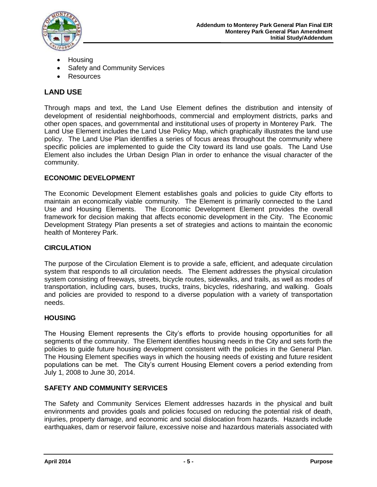

- **Housing**
- Safety and Community Services
- Resources

## **LAND USE**

Through maps and text, the Land Use Element defines the distribution and intensity of development of residential neighborhoods, commercial and employment districts, parks and other open spaces, and governmental and institutional uses of property in Monterey Park. The Land Use Element includes the Land Use Policy Map, which graphically illustrates the land use policy. The Land Use Plan identifies a series of focus areas throughout the community where specific policies are implemented to guide the City toward its land use goals. The Land Use Element also includes the Urban Design Plan in order to enhance the visual character of the community.

### **ECONOMIC DEVELOPMENT**

The Economic Development Element establishes goals and policies to guide City efforts to maintain an economically viable community. The Element is primarily connected to the Land Use and Housing Elements. The Economic Development Element provides the overall framework for decision making that affects economic development in the City. The Economic Development Strategy Plan presents a set of strategies and actions to maintain the economic health of Monterey Park.

### **CIRCULATION**

The purpose of the Circulation Element is to provide a safe, efficient, and adequate circulation system that responds to all circulation needs. The Element addresses the physical circulation system consisting of freeways, streets, bicycle routes, sidewalks, and trails, as well as modes of transportation, including cars, buses, trucks, trains, bicycles, ridesharing, and walking. Goals and policies are provided to respond to a diverse population with a variety of transportation needs.

### **HOUSING**

The Housing Element represents the City's efforts to provide housing opportunities for all segments of the community. The Element identifies housing needs in the City and sets forth the policies to guide future housing development consistent with the policies in the General Plan. The Housing Element specifies ways in which the housing needs of existing and future resident populations can be met. The City's current Housing Element covers a period extending from July 1, 2008 to June 30, 2014.

### **SAFETY AND COMMUNITY SERVICES**

The Safety and Community Services Element addresses hazards in the physical and built environments and provides goals and policies focused on reducing the potential risk of death, injuries, property damage, and economic and social dislocation from hazards. Hazards include earthquakes, dam or reservoir failure, excessive noise and hazardous materials associated with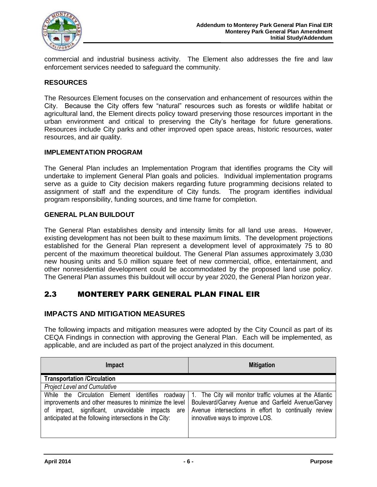

commercial and industrial business activity. The Element also addresses the fire and law enforcement services needed to safeguard the community.

#### **RESOURCES**

The Resources Element focuses on the conservation and enhancement of resources within the City. Because the City offers few "natural" resources such as forests or wildlife habitat or agricultural land, the Element directs policy toward preserving those resources important in the urban environment and critical to preserving the City's heritage for future generations. Resources include City parks and other improved open space areas, historic resources, water resources, and air quality.

#### **IMPLEMENTATION PROGRAM**

The General Plan includes an Implementation Program that identifies programs the City will undertake to implement General Plan goals and policies. Individual implementation programs serve as a guide to City decision makers regarding future programming decisions related to assignment of staff and the expenditure of City funds. The program identifies individual program responsibility, funding sources, and time frame for completion.

#### **GENERAL PLAN BUILDOUT**

The General Plan establishes density and intensity limits for all land use areas. However, existing development has not been built to these maximum limits. The development projections established for the General Plan represent a development level of approximately 75 to 80 percent of the maximum theoretical buildout. The General Plan assumes approximately 3,030 new housing units and 5.0 million square feet of new commercial, office, entertainment, and other nonresidential development could be accommodated by the proposed land use policy. The General Plan assumes this buildout will occur by year 2020, the General Plan horizon year.

## 2.3 MONTEREY PARK GENERAL PLAN FINAL EIR

#### **IMPACTS AND MITIGATION MEASURES**

The following impacts and mitigation measures were adopted by the City Council as part of its CEQA Findings in connection with approving the General Plan. Each will be implemented, as applicable, and are included as part of the project analyzed in this document.

| Impact                                                                                                                                                                                                                  | <b>Mitigation</b>                                                                                                                                                                                         |
|-------------------------------------------------------------------------------------------------------------------------------------------------------------------------------------------------------------------------|-----------------------------------------------------------------------------------------------------------------------------------------------------------------------------------------------------------|
| <b>Transportation /Circulation</b>                                                                                                                                                                                      |                                                                                                                                                                                                           |
| <b>Project Level and Cumulative</b>                                                                                                                                                                                     |                                                                                                                                                                                                           |
| While the Circulation Element identifies roadway<br>improvements and other measures to minimize the level<br>of impact, significant, unavoidable impacts are<br>anticipated at the following intersections in the City: | 1. The City will monitor traffic volumes at the Atlantic<br>Boulevard/Garvey Avenue and Garfield Avenue/Garvey<br>Avenue intersections in effort to continually review<br>innovative ways to improve LOS. |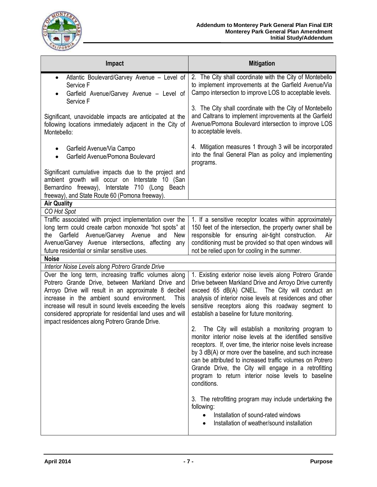

| Impact                                                                                                                                                                                                                                                                                                                                                                                            | <b>Mitigation</b>                                                                                                                                                                                                                                                                                                                                                                                                                        |
|---------------------------------------------------------------------------------------------------------------------------------------------------------------------------------------------------------------------------------------------------------------------------------------------------------------------------------------------------------------------------------------------------|------------------------------------------------------------------------------------------------------------------------------------------------------------------------------------------------------------------------------------------------------------------------------------------------------------------------------------------------------------------------------------------------------------------------------------------|
| Atlantic Boulevard/Garvey Avenue - Level of<br>$\bullet$<br>Service F<br>Garfield Avenue/Garvey Avenue - Level of                                                                                                                                                                                                                                                                                 | 2. The City shall coordinate with the City of Montebello<br>to implement improvements at the Garfield Avenue/Via<br>Campo intersection to improve LOS to acceptable levels.                                                                                                                                                                                                                                                              |
| Service F<br>Significant, unavoidable impacts are anticipated at the<br>following locations immediately adjacent in the City of<br>Montebello:                                                                                                                                                                                                                                                    | 3. The City shall coordinate with the City of Montebello<br>and Caltrans to implement improvements at the Garfield<br>Avenue/Pomona Boulevard intersection to improve LOS<br>to acceptable levels.                                                                                                                                                                                                                                       |
| Garfield Avenue/Via Campo<br>$\bullet$<br>Garfield Avenue/Pomona Boulevard<br>$\bullet$                                                                                                                                                                                                                                                                                                           | 4. Mitigation measures 1 through 3 will be incorporated<br>into the final General Plan as policy and implementing<br>programs.                                                                                                                                                                                                                                                                                                           |
| Significant cumulative impacts due to the project and<br>ambient growth will occur on Interstate 10 (San<br>Bernardino freeway), Interstate 710 (Long Beach<br>freeway), and State Route 60 (Pomona freeway).                                                                                                                                                                                     |                                                                                                                                                                                                                                                                                                                                                                                                                                          |
| <b>Air Quality</b>                                                                                                                                                                                                                                                                                                                                                                                |                                                                                                                                                                                                                                                                                                                                                                                                                                          |
| CO Hot Spot<br>Traffic associated with project implementation over the<br>long term could create carbon monoxide "hot spots" at<br>Garfield Avenue/Garvey Avenue<br>and<br><b>New</b><br>the<br>Avenue/Garvey Avenue intersections, affecting<br>any<br>future residential or similar sensitive uses.                                                                                             | 1. If a sensitive receptor locates within approximately<br>150 feet of the intersection, the property owner shall be<br>responsible for ensuring air-tight construction.<br>Air<br>conditioning must be provided so that open windows will<br>not be relied upon for cooling in the summer.                                                                                                                                              |
| <b>Noise</b>                                                                                                                                                                                                                                                                                                                                                                                      |                                                                                                                                                                                                                                                                                                                                                                                                                                          |
| Interior Noise Levels along Potrero Grande Drive                                                                                                                                                                                                                                                                                                                                                  |                                                                                                                                                                                                                                                                                                                                                                                                                                          |
| Over the long term, increasing traffic volumes along<br>Potrero Grande Drive, between Markland Drive and<br>Arroyo Drive will result in an approximate 8 decibel<br>increase in the ambient sound environment.<br>This<br>increase will result in sound levels exceeding the levels<br>considered appropriate for residential land uses and will<br>impact residences along Potrero Grande Drive. | 1. Existing exterior noise levels along Potrero Grande<br>Drive between Markland Drive and Arroyo Drive currently<br>exceed 65 dB(A) CNEL. The City will conduct an<br>analysis of interior noise levels at residences and other<br>sensitive receptors along this roadway segment to<br>establish a baseline for future monitoring.                                                                                                     |
|                                                                                                                                                                                                                                                                                                                                                                                                   | The City will establish a monitoring program to<br>2.<br>monitor interior noise levels at the identified sensitive<br>receptors. If, over time, the interior noise levels increase<br>by 3 dB(A) or more over the baseline, and such increase<br>can be attributed to increased traffic volumes on Potrero<br>Grande Drive, the City will engage in a retrofitting<br>program to return interior noise levels to baseline<br>conditions. |
|                                                                                                                                                                                                                                                                                                                                                                                                   | 3. The retrofitting program may include undertaking the<br>following:<br>Installation of sound-rated windows<br>$\bullet$<br>Installation of weather/sound installation<br>$\bullet$                                                                                                                                                                                                                                                     |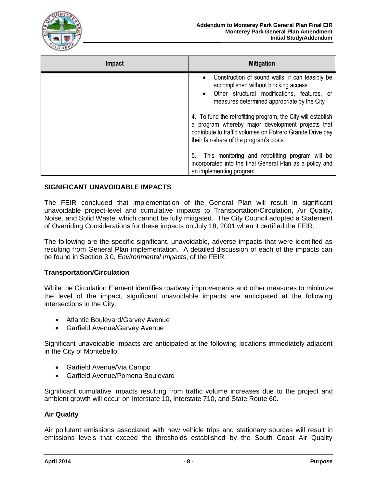

| <b>Impact</b> | <b>Mitigation</b>                                                                                                                                                                                                          |
|---------------|----------------------------------------------------------------------------------------------------------------------------------------------------------------------------------------------------------------------------|
|               | Construction of sound walls, if can feasibly be<br>$\bullet$<br>accomplished without blocking access<br>Other structural modifications, features, or<br>$\bullet$<br>measures determined appropriate by the City           |
|               | 4. To fund the retrofitting program, the City will establish<br>a program whereby major development projects that<br>contribute to traffic volumes on Potrero Grande Drive pay<br>their fair-share of the program's costs. |
|               | This monitoring and retrofitting program will be<br>5.<br>incorporated into the final General Plan as a policy and<br>an implementing program.                                                                             |

#### **SIGNIFICANT UNAVOIDABLE IMPACTS**

The FEIR concluded that implementation of the General Plan will result in significant unavoidable project-level and cumulative impacts to Transportation/Circulation, Air Quality, Noise, and Solid Waste, which cannot be fully mitigated. The City Council adopted a Statement of Overriding Considerations for these impacts on July 18, 2001 when it certified the FEIR.

The following are the specific significant, unavoidable, adverse impacts that were identified as resulting from General Plan implementation. A detailed discussion of each of the impacts can be found in Section 3.0, *Environmental Impacts*, of the FEIR.

#### **Transportation/Circulation**

While the Circulation Element identifies roadway improvements and other measures to minimize the level of the impact, significant unavoidable impacts are anticipated at the following intersections in the City:

- Atlantic Boulevard/Garvey Avenue
- Garfield Avenue/Garvey Avenue

Significant unavoidable impacts are anticipated at the following locations immediately adjacent in the City of Montebello:

- Garfield Avenue/Via Campo
- Garfield Avenue/Pomona Boulevard

Significant cumulative impacts resulting from traffic volume increases due to the project and ambient growth will occur on Interstate 10, Interstate 710, and State Route 60.

#### **Air Quality**

Air pollutant emissions associated with new vehicle trips and stationary sources will result in emissions levels that exceed the thresholds established by the South Coast Air Quality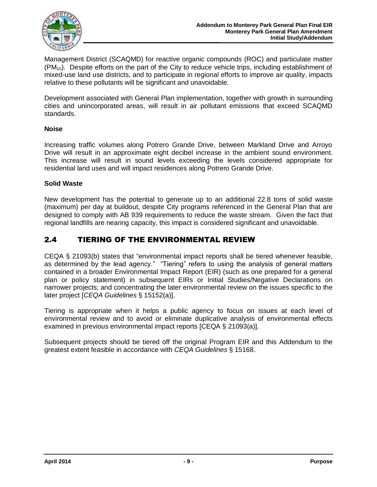

Management District (SCAQMD) for reactive organic compounds (ROC) and particulate matter  $(PM_{10})$ . Despite efforts on the part of the City to reduce vehicle trips, including establishment of mixed-use land use districts, and to participate in regional efforts to improve air quality, impacts relative to these pollutants will be significant and unavoidable.

Development associated with General Plan implementation, together with growth in surrounding cities and unincorporated areas, will result in air pollutant emissions that exceed SCAQMD standards.

#### **Noise**

Increasing traffic volumes along Potrero Grande Drive, between Markland Drive and Arroyo Drive will result in an approximate eight decibel increase in the ambient sound environment. This increase will result in sound levels exceeding the levels considered appropriate for residential land uses and will impact residences along Potrero Grande Drive.

#### **Solid Waste**

New development has the potential to generate up to an additional 22.8 tons of solid waste (maximum) per day at buildout, despite City programs referenced in the General Plan that are designed to comply with AB 939 requirements to reduce the waste stream. Given the fact that regional landfills are nearing capacity, this impact is considered significant and unavoidable.

## 2.4 TIERING OF THE ENVIRONMENTAL REVIEW

CEQA § 21093(b) states that "environmental impact reports shall be tiered whenever feasible, as determined by the lead agency." "Tiering" refers to using the analysis of general matters contained in a broader Environmental Impact Report (EIR) (such as one prepared for a general plan or policy statement) in subsequent EIRs or Initial Studies/Negative Declarations on narrower projects; and concentrating the later environmental review on the issues specific to the later project [*CEQA Guidelines* § 15152(a)].

Tiering is appropriate when it helps a public agency to focus on issues at each level of environmental review and to avoid or eliminate duplicative analysis of environmental effects examined in previous environmental impact reports [CEQA § 21093(a)].

Subsequent projects should be tiered off the original Program EIR and this Addendum to the greatest extent feasible in accordance with *CEQA Guidelines* § 15168.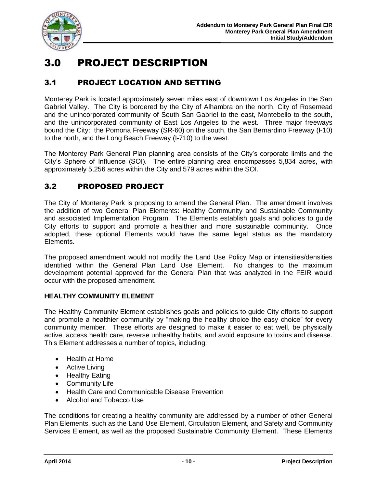

# 3.0 PROJECT DESCRIPTION

# 3.1 PROJECT LOCATION AND SETTING

Monterey Park is located approximately seven miles east of downtown Los Angeles in the San Gabriel Valley. The City is bordered by the City of Alhambra on the north, City of Rosemead and the unincorporated community of South San Gabriel to the east, Montebello to the south, and the unincorporated community of East Los Angeles to the west. Three major freeways bound the City: the Pomona Freeway (SR-60) on the south, the San Bernardino Freeway (I-10) to the north, and the Long Beach Freeway (I-710) to the west.

The Monterey Park General Plan planning area consists of the City's corporate limits and the City's Sphere of Influence (SOI). The entire planning area encompasses 5,834 acres, with approximately 5,256 acres within the City and 579 acres within the SOI.

## 3.2 PROPOSED PROJECT

The City of Monterey Park is proposing to amend the General Plan. The amendment involves the addition of two General Plan Elements: Healthy Community and Sustainable Community and associated Implementation Program. The Elements establish goals and policies to guide City efforts to support and promote a healthier and more sustainable community. Once adopted, these optional Elements would have the same legal status as the mandatory Elements.

The proposed amendment would not modify the Land Use Policy Map or intensities/densities identified within the General Plan Land Use Element. No changes to the maximum development potential approved for the General Plan that was analyzed in the FEIR would occur with the proposed amendment.

#### **HEALTHY COMMUNITY ELEMENT**

The Healthy Community Element establishes goals and policies to guide City efforts to support and promote a healthier community by "making the healthy choice the easy choice" for every community member. These efforts are designed to make it easier to eat well, be physically active, access health care, reverse unhealthy habits, and avoid exposure to toxins and disease. This Element addresses a number of topics, including:

- Health at Home
- Active Livina
- Healthy Eating
- Community Life
- Health Care and Communicable Disease Prevention
- Alcohol and Tobacco Use

The conditions for creating a healthy community are addressed by a number of other General Plan Elements, such as the Land Use Element, Circulation Element, and Safety and Community Services Element, as well as the proposed Sustainable Community Element. These Elements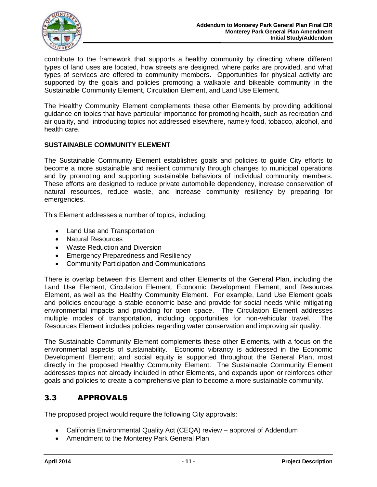

contribute to the framework that supports a healthy community by directing where different types of land uses are located, how streets are designed, where parks are provided, and what types of services are offered to community members. Opportunities for physical activity are supported by the goals and policies promoting a walkable and bikeable community in the Sustainable Community Element, Circulation Element, and Land Use Element.

The Healthy Community Element complements these other Elements by providing additional guidance on topics that have particular importance for promoting health, such as recreation and air quality, and introducing topics not addressed elsewhere, namely food, tobacco, alcohol, and health care.

#### **SUSTAINABLE COMMUNITY ELEMENT**

The Sustainable Community Element establishes goals and policies to guide City efforts to become a more sustainable and resilient community through changes to municipal operations and by promoting and supporting sustainable behaviors of individual community members. These efforts are designed to reduce private automobile dependency, increase conservation of natural resources, reduce waste, and increase community resiliency by preparing for emergencies.

This Element addresses a number of topics, including:

- Land Use and Transportation
- Natural Resources
- Waste Reduction and Diversion
- **Emergency Preparedness and Resiliency**
- Community Participation and Communications

There is overlap between this Element and other Elements of the General Plan, including the Land Use Element, Circulation Element, Economic Development Element, and Resources Element, as well as the Healthy Community Element. For example, Land Use Element goals and policies encourage a stable economic base and provide for social needs while mitigating environmental impacts and providing for open space. The Circulation Element addresses multiple modes of transportation, including opportunities for non-vehicular travel. The Resources Element includes policies regarding water conservation and improving air quality.

The Sustainable Community Element complements these other Elements, with a focus on the environmental aspects of sustainability. Economic vibrancy is addressed in the Economic Development Element; and social equity is supported throughout the General Plan, most directly in the proposed Healthy Community Element. The Sustainable Community Element addresses topics not already included in other Elements, and expands upon or reinforces other goals and policies to create a comprehensive plan to become a more sustainable community.

### 3.3 APPROVALS

The proposed project would require the following City approvals:

- California Environmental Quality Act (CEQA) review approval of Addendum
- Amendment to the Monterey Park General Plan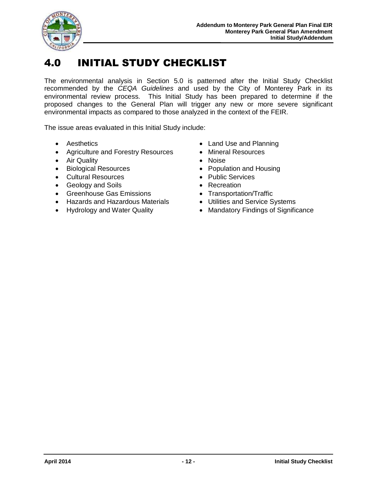

# 4.0 INITIAL STUDY CHECKLIST

The environmental analysis in Section 5.0 is patterned after the Initial Study Checklist recommended by the *CEQA Guidelines* and used by the City of Monterey Park in its environmental review process. This Initial Study has been prepared to determine if the proposed changes to the General Plan will trigger any new or more severe significant environmental impacts as compared to those analyzed in the context of the FEIR.

The issue areas evaluated in this Initial Study include:

- 
- Agriculture and Forestry Resources Mineral Resources
- Air Quality **Air Quality Air Quality Noise Noise**
- 
- Cultural Resources Public Services
- Geology and Soils **Communist Communist Communist Communist Communist Communist Communist Communist Communist Communist Communist Communist Communist Communist Communist Communist Communist Communist Communist Communist C**
- Greenhouse Gas Emissions Transportation/Traffic
- Hazards and Hazardous Materials Utilities and Service Systems
- 
- Aesthetics **Land Use and Planning** 
	-
	-
- Biological Resources **Constanting Constructs** Population and Housing
	-
	-
	-
	-
- Hydrology and Water Quality **•** Mandatory Findings of Significance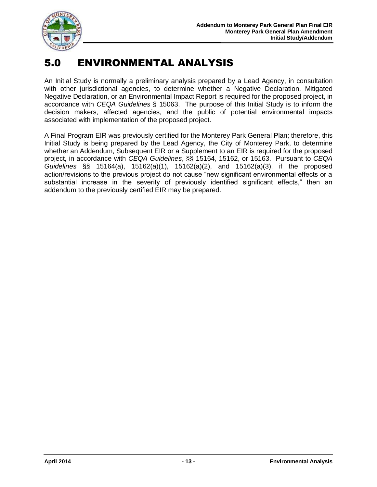

# 5.0 ENVIRONMENTAL ANALYSIS

An Initial Study is normally a preliminary analysis prepared by a Lead Agency, in consultation with other jurisdictional agencies, to determine whether a Negative Declaration, Mitigated Negative Declaration, or an Environmental Impact Report is required for the proposed project, in accordance with *CEQA Guidelines* § 15063. The purpose of this Initial Study is to inform the decision makers, affected agencies, and the public of potential environmental impacts associated with implementation of the proposed project.

A Final Program EIR was previously certified for the Monterey Park General Plan; therefore, this Initial Study is being prepared by the Lead Agency, the City of Monterey Park, to determine whether an Addendum, Subsequent EIR or a Supplement to an EIR is required for the proposed project, in accordance with *CEQA Guidelines*, §§ 15164, 15162, or 15163. Pursuant to *CEQA Guidelines* §§ 15164(a), 15162(a)(1), 15162(a)(2), and 15162(a)(3), if the proposed action/revisions to the previous project do not cause "new significant environmental effects or a substantial increase in the severity of previously identified significant effects," then an addendum to the previously certified EIR may be prepared.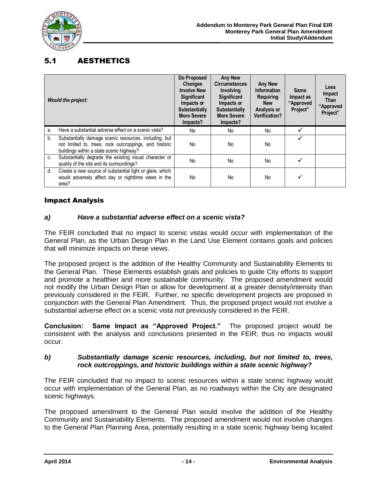

# 5.1 AESTHETICS

|    | <b>Would the project:</b>                                                                                                                                   | Do Proposed<br><b>Changes</b><br><b>Involve New</b><br><b>Significant</b><br>Impacts or<br>Substantially<br><b>More Severe</b><br>Impacts? | <b>Any New</b><br><b>Circumstances</b><br><b>Involving</b><br>Significant<br>Impacts or<br><b>Substantially</b><br><b>More Severe</b><br>Impacts? | <b>Any New</b><br><b>Information</b><br>Requiring<br><b>New</b><br>Analysis or<br><b>Verification?</b> | <b>Same</b><br>Impact as<br>"Approved<br>Project" | <b>Less</b><br>Impact<br><b>Than</b><br>"Approved<br>Project" |
|----|-------------------------------------------------------------------------------------------------------------------------------------------------------------|--------------------------------------------------------------------------------------------------------------------------------------------|---------------------------------------------------------------------------------------------------------------------------------------------------|--------------------------------------------------------------------------------------------------------|---------------------------------------------------|---------------------------------------------------------------|
| a. | Have a substantial adverse effect on a scenic vista?                                                                                                        | No                                                                                                                                         | No                                                                                                                                                | <b>No</b>                                                                                              |                                                   |                                                               |
| b. | Substantially damage scenic resources, including, but<br>not limited to, trees, rock outcroppings, and historic<br>buildings within a state scenic highway? | <b>No</b>                                                                                                                                  | No.                                                                                                                                               | N <sub>o</sub>                                                                                         |                                                   |                                                               |
| C. | Substantially degrade the existing visual character or<br>quality of the site and its surroundings?                                                         | <b>No</b>                                                                                                                                  | No                                                                                                                                                | No                                                                                                     | ✓                                                 |                                                               |
| d. | Create a new source of substantial light or glare, which<br>would adversely affect day or nighttime views in the<br>area?                                   | No                                                                                                                                         | No                                                                                                                                                | N <sub>o</sub>                                                                                         |                                                   |                                                               |

### Impact Analysis

#### *a) Have a substantial adverse effect on a scenic vista?*

The FEIR concluded that no impact to scenic vistas would occur with implementation of the General Plan, as the Urban Design Plan in the Land Use Element contains goals and policies that will minimize impacts on these views.

The proposed project is the addition of the Healthy Community and Sustainability Elements to the General Plan. These Elements establish goals and policies to guide City efforts to support and promote a healthier and more sustainable community. The proposed amendment would not modify the Urban Design Plan or allow for development at a greater density/intensity than previously considered in the FEIR. Further, no specific development projects are proposed in conjunction with the General Plan Amendment. Thus, the proposed project would not involve a substantial adverse effect on a scenic vista not previously considered in the FEIR.

**Conclusion: Same Impact as "Approved Project."** The proposed project would be consistent with the analysis and conclusions presented in the FEIR; thus no impacts would occur.

#### *b) Substantially damage scenic resources, including, but not limited to, trees, rock outcroppings, and historic buildings within a state scenic highway?*

The FEIR concluded that no impact to scenic resources within a state scenic highway would occur with implementation of the General Plan, as no roadways within the City are designated scenic highways.

The proposed amendment to the General Plan would involve the addition of the Healthy Community and Sustainability Elements. The proposed amendment would not involve changes to the General Plan Planning Area, potentially resulting in a state scenic highway being located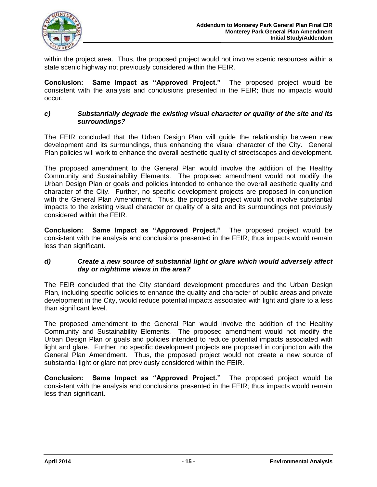

within the project area. Thus, the proposed project would not involve scenic resources within a state scenic highway not previously considered within the FEIR.

**Conclusion: Same Impact as "Approved Project."** The proposed project would be consistent with the analysis and conclusions presented in the FEIR; thus no impacts would occur.

#### *c) Substantially degrade the existing visual character or quality of the site and its surroundings?*

The FEIR concluded that the Urban Design Plan will guide the relationship between new development and its surroundings, thus enhancing the visual character of the City. General Plan policies will work to enhance the overall aesthetic quality of streetscapes and development.

The proposed amendment to the General Plan would involve the addition of the Healthy Community and Sustainability Elements. The proposed amendment would not modify the Urban Design Plan or goals and policies intended to enhance the overall aesthetic quality and character of the City. Further, no specific development projects are proposed in conjunction with the General Plan Amendment. Thus, the proposed project would not involve substantial impacts to the existing visual character or quality of a site and its surroundings not previously considered within the FEIR.

**Conclusion: Same Impact as "Approved Project."** The proposed project would be consistent with the analysis and conclusions presented in the FEIR; thus impacts would remain less than significant.

#### *d) Create a new source of substantial light or glare which would adversely affect day or nighttime views in the area?*

The FEIR concluded that the City standard development procedures and the Urban Design Plan, including specific policies to enhance the quality and character of public areas and private development in the City, would reduce potential impacts associated with light and glare to a less than significant level.

The proposed amendment to the General Plan would involve the addition of the Healthy Community and Sustainability Elements. The proposed amendment would not modify the Urban Design Plan or goals and policies intended to reduce potential impacts associated with light and glare. Further, no specific development projects are proposed in conjunction with the General Plan Amendment. Thus, the proposed project would not create a new source of substantial light or glare not previously considered within the FEIR.

**Conclusion: Same Impact as "Approved Project."** The proposed project would be consistent with the analysis and conclusions presented in the FEIR; thus impacts would remain less than significant.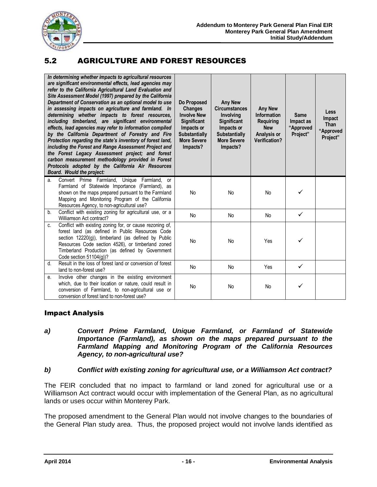

## 5.2 AGRICULTURE AND FOREST RESOURCES

|    | In determining whether impacts to agricultural resources<br>are significant environmental effects, lead agencies may<br>refer to the California Agricultural Land Evaluation and<br>Site Assessment Model (1997) prepared by the California<br>Department of Conservation as an optional model to use<br>in assessing impacts on agriculture and farmland. In<br>determining whether impacts to forest resources,<br>including timberland, are significant environmental<br>effects, lead agencies may refer to information compiled<br>by the California Department of Forestry and Fire<br>Protection regarding the state's inventory of forest land,<br>including the Forest and Range Assessment Project and<br>the Forest Legacy Assessment project; and forest<br>carbon measurement methodology provided in Forest<br>Protocols adopted by the California Air Resources<br>Board. Would the project: | Do Proposed<br><b>Changes</b><br><b>Involve New</b><br><b>Significant</b><br>Impacts or<br><b>Substantially</b><br><b>More Severe</b><br>Impacts? | <b>Any New</b><br><b>Circumstances</b><br><b>Involving</b><br><b>Significant</b><br>Impacts or<br><b>Substantially</b><br><b>More Severe</b><br>Impacts? | <b>Any New</b><br><b>Information</b><br><b>Requiring</b><br><b>New</b><br>Analysis or<br><b>Verification?</b> | <b>Same</b><br>Impact as<br>"Approved<br>Project" | <b>Less</b><br>Impact<br><b>Than</b><br>"Approved<br>Project" |
|----|-------------------------------------------------------------------------------------------------------------------------------------------------------------------------------------------------------------------------------------------------------------------------------------------------------------------------------------------------------------------------------------------------------------------------------------------------------------------------------------------------------------------------------------------------------------------------------------------------------------------------------------------------------------------------------------------------------------------------------------------------------------------------------------------------------------------------------------------------------------------------------------------------------------|---------------------------------------------------------------------------------------------------------------------------------------------------|----------------------------------------------------------------------------------------------------------------------------------------------------------|---------------------------------------------------------------------------------------------------------------|---------------------------------------------------|---------------------------------------------------------------|
| a. | Convert Prime Farmland, Unique Farmland, or<br>Farmland of Statewide Importance (Farmland), as<br>shown on the maps prepared pursuant to the Farmland<br>Mapping and Monitoring Program of the California<br>Resources Agency, to non-agricultural use?                                                                                                                                                                                                                                                                                                                                                                                                                                                                                                                                                                                                                                                     | <b>No</b>                                                                                                                                         | No                                                                                                                                                       | <b>No</b>                                                                                                     | ✓                                                 |                                                               |
| b. | Conflict with existing zoning for agricultural use, or a<br>Williamson Act contract?                                                                                                                                                                                                                                                                                                                                                                                                                                                                                                                                                                                                                                                                                                                                                                                                                        | <b>No</b>                                                                                                                                         | No                                                                                                                                                       | No                                                                                                            | ✓                                                 |                                                               |
| C. | Conflict with existing zoning for, or cause rezoning of,<br>forest land (as defined in Public Resources Code<br>section 12220(g)), timberland (as defined by Public<br>Resources Code section 4526), or timberland zoned<br>Timberland Production (as defined by Government<br>Code section $51104(q)$ ?                                                                                                                                                                                                                                                                                                                                                                                                                                                                                                                                                                                                    | N <sub>o</sub>                                                                                                                                    | <b>No</b>                                                                                                                                                | Yes                                                                                                           | ✓                                                 |                                                               |
| d. | Result in the loss of forest land or conversion of forest<br>land to non-forest use?                                                                                                                                                                                                                                                                                                                                                                                                                                                                                                                                                                                                                                                                                                                                                                                                                        | <b>No</b>                                                                                                                                         | <b>No</b>                                                                                                                                                | Yes                                                                                                           | $\checkmark$                                      |                                                               |
| е. | Involve other changes in the existing environment<br>which, due to their location or nature, could result in<br>conversion of Farmland, to non-agricultural use or<br>conversion of forest land to non-forest use?                                                                                                                                                                                                                                                                                                                                                                                                                                                                                                                                                                                                                                                                                          | No                                                                                                                                                | No                                                                                                                                                       | <b>No</b>                                                                                                     | ✓                                                 |                                                               |

### Impact Analysis

*a) Convert Prime Farmland, Unique Farmland, or Farmland of Statewide Importance (Farmland), as shown on the maps prepared pursuant to the Farmland Mapping and Monitoring Program of the California Resources Agency, to non-agricultural use?*

#### *b) Conflict with existing zoning for agricultural use, or a Williamson Act contract?*

The FEIR concluded that no impact to farmland or land zoned for agricultural use or a Williamson Act contract would occur with implementation of the General Plan, as no agricultural lands or uses occur within Monterey Park.

The proposed amendment to the General Plan would not involve changes to the boundaries of the General Plan study area. Thus, the proposed project would not involve lands identified as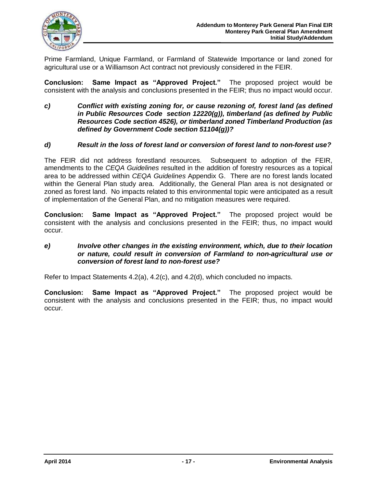

Prime Farmland, Unique Farmland, or Farmland of Statewide Importance or land zoned for agricultural use or a Williamson Act contract not previously considered in the FEIR.

**Conclusion: Same Impact as "Approved Project."** The proposed project would be consistent with the analysis and conclusions presented in the FEIR; thus no impact would occur.

*c) Conflict with existing zoning for, or cause rezoning of, forest land (as defined in Public Resources Code section 12220(g)), timberland (as defined by Public Resources Code section 4526), or timberland zoned Timberland Production (as defined by Government Code section 51104(g))?*

#### *d) Result in the loss of forest land or conversion of forest land to non-forest use?*

The FEIR did not address forestland resources. Subsequent to adoption of the FEIR, amendments to the *CEQA Guidelines* resulted in the addition of forestry resources as a topical area to be addressed within *CEQA Guidelines* Appendix G. There are no forest lands located within the General Plan study area. Additionally, the General Plan area is not designated or zoned as forest land. No impacts related to this environmental topic were anticipated as a result of implementation of the General Plan, and no mitigation measures were required.

**Conclusion: Same Impact as "Approved Project."** The proposed project would be consistent with the analysis and conclusions presented in the FEIR; thus, no impact would occur.

#### *e) Involve other changes in the existing environment, which, due to their location or nature, could result in conversion of Farmland to non-agricultural use or conversion of forest land to non-forest use?*

Refer to Impact Statements 4.2(a), 4.2(c), and 4.2(d), which concluded no impacts.

**Conclusion: Same Impact as "Approved Project."** The proposed project would be consistent with the analysis and conclusions presented in the FEIR; thus, no impact would occur.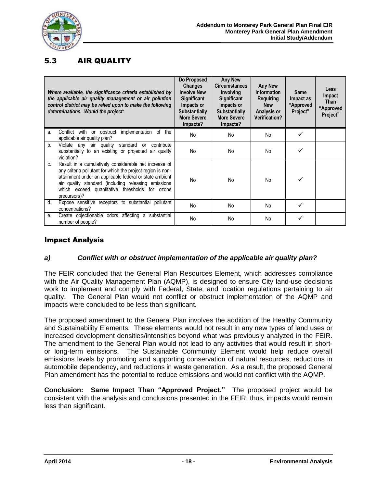

# 5.3 AIR QUALITY

|    | Where available, the significance criteria established by<br>the applicable air quality management or air pollution<br>control district may be relied upon to make the following<br>determinations. Would the project:                                                                                   | Do Proposed<br><b>Changes</b><br><b>Involve New</b><br><b>Significant</b><br>Impacts or<br><b>Substantially</b><br><b>More Severe</b><br>Impacts? | <b>Any New</b><br><b>Circumstances</b><br>Involving<br><b>Significant</b><br>Impacts or<br><b>Substantially</b><br><b>More Severe</b><br>Impacts? | <b>Any New</b><br><b>Information</b><br><b>Requiring</b><br><b>New</b><br>Analysis or<br><b>Verification?</b> | Same<br>Impact as<br>"Approved<br>Project" | <b>Less</b><br>Impact<br><b>Than</b><br>"Approved<br>Project" |
|----|----------------------------------------------------------------------------------------------------------------------------------------------------------------------------------------------------------------------------------------------------------------------------------------------------------|---------------------------------------------------------------------------------------------------------------------------------------------------|---------------------------------------------------------------------------------------------------------------------------------------------------|---------------------------------------------------------------------------------------------------------------|--------------------------------------------|---------------------------------------------------------------|
| a. | implementation<br>with<br>or obstruct<br>of<br>Confiict<br>the<br>applicable air quality plan?                                                                                                                                                                                                           | No                                                                                                                                                | No.                                                                                                                                               | No                                                                                                            |                                            |                                                               |
| b. | standard or<br>Violate any air quality<br>contribute<br>substantially to an existing or projected air quality<br>violation?                                                                                                                                                                              | No.                                                                                                                                               | No.                                                                                                                                               | No                                                                                                            |                                            |                                                               |
| C. | Result in a cumulatively considerable net increase of<br>any criteria pollutant for which the project region is non-<br>attainment under an applicable federal or state ambient<br>air quality standard (including releasing emissions<br>which exceed quantitative thresholds for ozone<br>precursors)? | No.                                                                                                                                               | <b>No</b>                                                                                                                                         | <b>No</b>                                                                                                     |                                            |                                                               |
| d. | Expose sensitive receptors to substantial pollutant<br>concentrations?                                                                                                                                                                                                                                   | <b>No</b>                                                                                                                                         | <b>No</b>                                                                                                                                         | <b>No</b>                                                                                                     | ✓                                          |                                                               |
| e. | Create objectionable odors affecting a substantial<br>number of people?                                                                                                                                                                                                                                  | No                                                                                                                                                | No                                                                                                                                                | No                                                                                                            |                                            |                                                               |

## Impact Analysis

#### *a) Conflict with or obstruct implementation of the applicable air quality plan?*

The FEIR concluded that the General Plan Resources Element, which addresses compliance with the Air Quality Management Plan (AQMP), is designed to ensure City land-use decisions work to implement and comply with Federal, State, and location regulations pertaining to air quality. The General Plan would not conflict or obstruct implementation of the AQMP and impacts were concluded to be less than significant.

The proposed amendment to the General Plan involves the addition of the Healthy Community and Sustainability Elements. These elements would not result in any new types of land uses or increased development densities/intensities beyond what was previously analyzed in the FEIR. The amendment to the General Plan would not lead to any activities that would result in shortor long-term emissions. The Sustainable Community Element would help reduce overall emissions levels by promoting and supporting conservation of natural resources, reductions in automobile dependency, and reductions in waste generation. As a result, the proposed General Plan amendment has the potential to reduce emissions and would not conflict with the AQMP.

**Conclusion: Same Impact Than "Approved Project."** The proposed project would be consistent with the analysis and conclusions presented in the FEIR; thus, impacts would remain less than significant.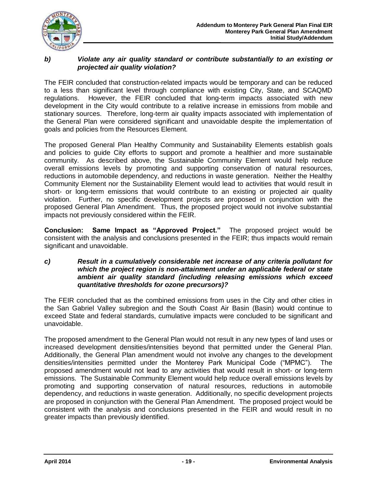

#### *b) Violate any air quality standard or contribute substantially to an existing or projected air quality violation?*

The FEIR concluded that construction-related impacts would be temporary and can be reduced to a less than significant level through compliance with existing City, State, and SCAQMD regulations. However, the FEIR concluded that long-term impacts associated with new development in the City would contribute to a relative increase in emissions from mobile and stationary sources. Therefore, long-term air quality impacts associated with implementation of the General Plan were considered significant and unavoidable despite the implementation of goals and policies from the Resources Element.

The proposed General Plan Healthy Community and Sustainability Elements establish goals and policies to guide City efforts to support and promote a healthier and more sustainable community. As described above, the Sustainable Community Element would help reduce overall emissions levels by promoting and supporting conservation of natural resources, reductions in automobile dependency, and reductions in waste generation. Neither the Healthy Community Element nor the Sustainability Element would lead to activities that would result in short- or long-term emissions that would contribute to an existing or projected air quality violation. Further, no specific development projects are proposed in conjunction with the proposed General Plan Amendment. Thus, the proposed project would not involve substantial impacts not previously considered within the FEIR.

**Conclusion: Same Impact as "Approved Project."** The proposed project would be consistent with the analysis and conclusions presented in the FEIR; thus impacts would remain significant and unavoidable.

#### *c) Result in a cumulatively considerable net increase of any criteria pollutant for which the project region is non-attainment under an applicable federal or state ambient air quality standard (including releasing emissions which exceed quantitative thresholds for ozone precursors)?*

The FEIR concluded that as the combined emissions from uses in the City and other cities in the San Gabriel Valley subregion and the South Coast Air Basin (Basin) would continue to exceed State and federal standards, cumulative impacts were concluded to be significant and unavoidable.

The proposed amendment to the General Plan would not result in any new types of land uses or increased development densities/intensities beyond that permitted under the General Plan. Additionally, the General Plan amendment would not involve any changes to the development densities/intensities permitted under the Monterey Park Municipal Code ("MPMC"). The proposed amendment would not lead to any activities that would result in short- or long-term emissions. The Sustainable Community Element would help reduce overall emissions levels by promoting and supporting conservation of natural resources, reductions in automobile dependency, and reductions in waste generation. Additionally, no specific development projects are proposed in conjunction with the General Plan Amendment. The proposed project would be consistent with the analysis and conclusions presented in the FEIR and would result in no greater impacts than previously identified.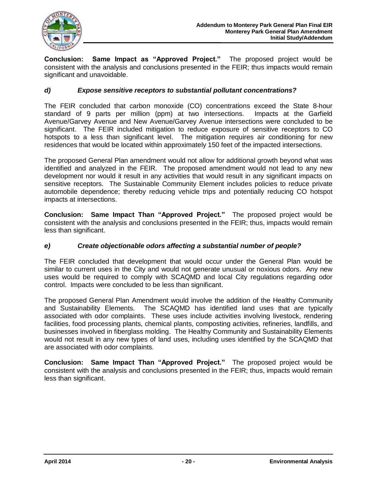

**Conclusion: Same Impact as "Approved Project."** The proposed project would be consistent with the analysis and conclusions presented in the FEIR; thus impacts would remain significant and unavoidable.

#### *d) Expose sensitive receptors to substantial pollutant concentrations?*

The FEIR concluded that carbon monoxide (CO) concentrations exceed the State 8-hour standard of 9 parts per million (ppm) at two intersections. Impacts at the Garfield Avenue/Garvey Avenue and New Avenue/Garvey Avenue intersections were concluded to be significant. The FEIR included mitigation to reduce exposure of sensitive receptors to CO hotspots to a less than significant level. The mitigation requires air conditioning for new residences that would be located within approximately 150 feet of the impacted intersections.

The proposed General Plan amendment would not allow for additional growth beyond what was identified and analyzed in the FEIR. The proposed amendment would not lead to any new development nor would it result in any activities that would result in any significant impacts on sensitive receptors. The Sustainable Community Element includes policies to reduce private automobile dependence; thereby reducing vehicle trips and potentially reducing CO hotspot impacts at intersections.

**Conclusion: Same Impact Than "Approved Project."** The proposed project would be consistent with the analysis and conclusions presented in the FEIR; thus, impacts would remain less than significant.

#### *e) Create objectionable odors affecting a substantial number of people?*

The FEIR concluded that development that would occur under the General Plan would be similar to current uses in the City and would not generate unusual or noxious odors. Any new uses would be required to comply with SCAQMD and local City regulations regarding odor control. Impacts were concluded to be less than significant.

The proposed General Plan Amendment would involve the addition of the Healthy Community and Sustainability Elements. The SCAQMD has identified land uses that are typically associated with odor complaints. These uses include activities involving livestock, rendering facilities, food processing plants, chemical plants, composting activities, refineries, landfills, and businesses involved in fiberglass molding. The Healthy Community and Sustainability Elements would not result in any new types of land uses, including uses identified by the SCAQMD that are associated with odor complaints.

**Conclusion: Same Impact Than "Approved Project."** The proposed project would be consistent with the analysis and conclusions presented in the FEIR; thus, impacts would remain less than significant.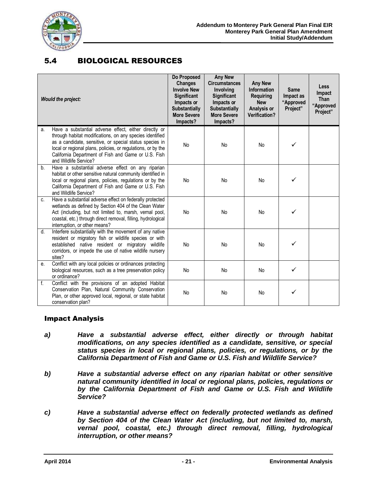

# 5.4 BIOLOGICAL RESOURCES

|             | <b>Would the project:</b>                                                                                                                                                                                                                                                                                                    | Do Proposed<br><b>Changes</b><br><b>Involve New</b><br>Significant<br>Impacts or<br><b>Substantially</b><br><b>More Severe</b><br>Impacts? | <b>Any New</b><br><b>Circumstances</b><br><b>Involvina</b><br>Significant<br>Impacts or<br><b>Substantially</b><br><b>More Severe</b><br>Impacts? | <b>Any New</b><br>Information<br><b>Requiring</b><br><b>New</b><br>Analysis or<br><b>Verification?</b> | <b>Same</b><br>Impact as<br>"Approved<br>Project" | <b>Less</b><br>Impact<br>Than<br>"Approved<br>Project" |
|-------------|------------------------------------------------------------------------------------------------------------------------------------------------------------------------------------------------------------------------------------------------------------------------------------------------------------------------------|--------------------------------------------------------------------------------------------------------------------------------------------|---------------------------------------------------------------------------------------------------------------------------------------------------|--------------------------------------------------------------------------------------------------------|---------------------------------------------------|--------------------------------------------------------|
| a.          | Have a substantial adverse effect, either directly or<br>through habitat modifications, on any species identified<br>as a candidate, sensitive, or special status species in<br>local or regional plans, policies, or regulations, or by the<br>California Department of Fish and Game or U.S. Fish<br>and Wildlife Service? | No                                                                                                                                         | <b>No</b>                                                                                                                                         | No                                                                                                     | ✓                                                 |                                                        |
| b.          | Have a substantial adverse effect on any riparian<br>habitat or other sensitive natural community identified in<br>local or regional plans, policies, regulations or by the<br>California Department of Fish and Game or U.S. Fish<br>and Wildlife Service?                                                                  | No                                                                                                                                         | <b>No</b>                                                                                                                                         | No                                                                                                     |                                                   |                                                        |
| C.          | Have a substantial adverse effect on federally protected<br>wetlands as defined by Section 404 of the Clean Water<br>Act (including, but not limited to, marsh, vernal pool,<br>coastal, etc.) through direct removal, filling, hydrological<br>interruption, or other means?                                                | No                                                                                                                                         | No                                                                                                                                                | No                                                                                                     | ✓                                                 |                                                        |
| d.          | Interfere substantially with the movement of any native<br>resident or migratory fish or wildlife species or with<br>established native resident or migratory wildlife<br>corridors, or impede the use of native wildlife nursery<br>sites?                                                                                  | No                                                                                                                                         | No                                                                                                                                                | No                                                                                                     | ✓                                                 |                                                        |
| е.          | Conflict with any local policies or ordinances protecting<br>biological resources, such as a tree preservation policy<br>or ordinance?                                                                                                                                                                                       | No                                                                                                                                         | No                                                                                                                                                | No                                                                                                     | ✓                                                 |                                                        |
| $f_{\cdot}$ | Conflict with the provisions of an adopted Habitat<br>Conservation Plan, Natural Community Conservation<br>Plan, or other approved local, regional, or state habitat<br>conservation plan?                                                                                                                                   | No                                                                                                                                         | <b>No</b>                                                                                                                                         | No                                                                                                     | ✓                                                 |                                                        |

### Impact Analysis

- *a) Have a substantial adverse effect, either directly or through habitat modifications, on any species identified as a candidate, sensitive, or special status species in local or regional plans, policies, or regulations, or by the California Department of Fish and Game or U.S. Fish and Wildlife Service?*
- *b) Have a substantial adverse effect on any riparian habitat or other sensitive natural community identified in local or regional plans, policies, regulations or by the California Department of Fish and Game or U.S. Fish and Wildlife Service?*
- *c) Have a substantial adverse effect on federally protected wetlands as defined by Section 404 of the Clean Water Act (including, but not limited to, marsh, vernal pool, coastal, etc.) through direct removal, filling, hydrological interruption, or other means?*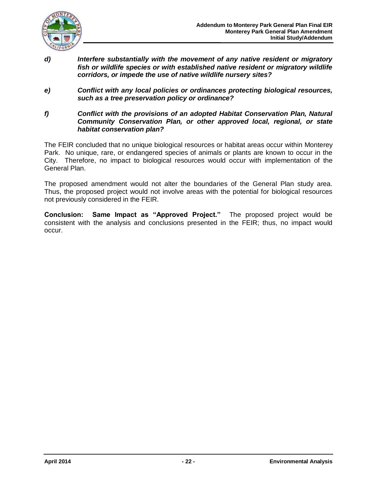

- *d) Interfere substantially with the movement of any native resident or migratory fish or wildlife species or with established native resident or migratory wildlife corridors, or impede the use of native wildlife nursery sites?*
- *e) Conflict with any local policies or ordinances protecting biological resources, such as a tree preservation policy or ordinance?*

#### *f) Conflict with the provisions of an adopted Habitat Conservation Plan, Natural Community Conservation Plan, or other approved local, regional, or state habitat conservation plan?*

The FEIR concluded that no unique biological resources or habitat areas occur within Monterey Park. No unique, rare, or endangered species of animals or plants are known to occur in the City. Therefore, no impact to biological resources would occur with implementation of the General Plan.

The proposed amendment would not alter the boundaries of the General Plan study area. Thus, the proposed project would not involve areas with the potential for biological resources not previously considered in the FEIR.

**Conclusion: Same Impact as "Approved Project."** The proposed project would be consistent with the analysis and conclusions presented in the FEIR; thus, no impact would occur.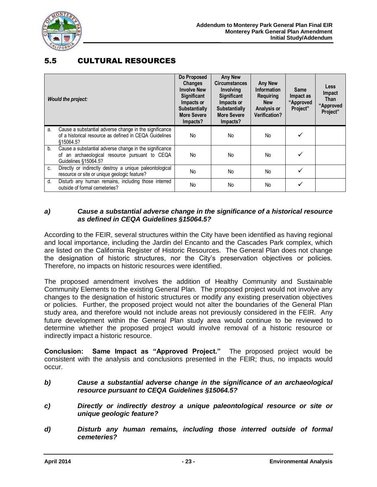

# 5.5 CULTURAL RESOURCES

|    | <b>Would the project:</b>                                                                                                        | Do Proposed<br><b>Changes</b><br><b>Involve New</b><br><b>Significant</b><br>Impacts or<br><b>Substantially</b><br><b>More Severe</b><br>Impacts? | <b>Any New</b><br><b>Circumstances</b><br><b>Involving</b><br><b>Significant</b><br>Impacts or<br><b>Substantially</b><br><b>More Severe</b><br>Impacts? | <b>Any New</b><br>Information<br>Requiring<br><b>New</b><br>Analysis or<br><b>Verification?</b> | Same<br>Impact as<br>"Approved<br>Project" | <b>Less</b><br>Impact<br>Than<br>"Approved<br>Project" |
|----|----------------------------------------------------------------------------------------------------------------------------------|---------------------------------------------------------------------------------------------------------------------------------------------------|----------------------------------------------------------------------------------------------------------------------------------------------------------|-------------------------------------------------------------------------------------------------|--------------------------------------------|--------------------------------------------------------|
| a. | Cause a substantial adverse change in the significance<br>of a historical resource as defined in CEQA Guidelines<br>\$15064.5?   | No                                                                                                                                                | No                                                                                                                                                       | No.                                                                                             |                                            |                                                        |
| b. | Cause a substantial adverse change in the significance<br>of an archaeological resource pursuant to CEQA<br>Guidelines §15064.5? | No                                                                                                                                                | No                                                                                                                                                       | No.                                                                                             |                                            |                                                        |
| C. | Directly or indirectly destroy a unique paleontological<br>resource or site or unique geologic feature?                          | <b>No</b>                                                                                                                                         | No.                                                                                                                                                      | No.                                                                                             |                                            |                                                        |
| d. | Disturb any human remains, including those interred<br>outside of formal cemeteries?                                             | <b>No</b>                                                                                                                                         | No                                                                                                                                                       | <b>No</b>                                                                                       |                                            |                                                        |

#### *a) Cause a substantial adverse change in the significance of a historical resource as defined in CEQA Guidelines §15064.5?*

According to the FEIR, several structures within the City have been identified as having regional and local importance, including the Jardin del Encanto and the Cascades Park complex, which are listed on the California Register of Historic Resources. The General Plan does not change the designation of historic structures, nor the City's preservation objectives or policies. Therefore, no impacts on historic resources were identified.

The proposed amendment involves the addition of Healthy Community and Sustainable Community Elements to the existing General Plan. The proposed project would not involve any changes to the designation of historic structures or modify any existing preservation objectives or policies. Further, the proposed project would not alter the boundaries of the General Plan study area, and therefore would not include areas not previously considered in the FEIR. Any future development within the General Plan study area would continue to be reviewed to determine whether the proposed project would involve removal of a historic resource or indirectly impact a historic resource.

**Conclusion: Same Impact as "Approved Project."** The proposed project would be consistent with the analysis and conclusions presented in the FEIR; thus, no impacts would occur.

- *b) Cause a substantial adverse change in the significance of an archaeological resource pursuant to CEQA Guidelines §15064.5?*
- *c) Directly or indirectly destroy a unique paleontological resource or site or unique geologic feature?*
- *d) Disturb any human remains, including those interred outside of formal cemeteries?*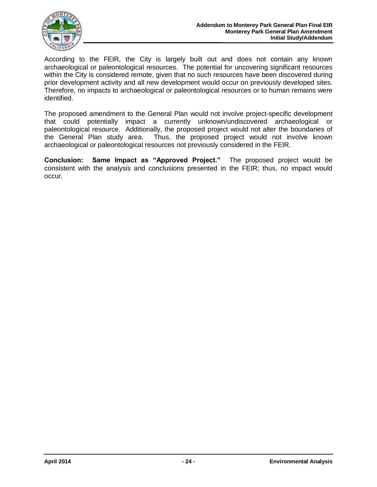

According to the FEIR, the City is largely built out and does not contain any known archaeological or paleontological resources. The potential for uncovering significant resources within the City is considered remote, given that no such resources have been discovered during prior development activity and all new development would occur on previously developed sites. Therefore, no impacts to archaeological or paleontological resources or to human remains were identified.

The proposed amendment to the General Plan would not involve project-specific development that could potentially impact a currently unknown/undiscovered archaeological or paleontological resource. Additionally, the proposed project would not alter the boundaries of the General Plan study area. Thus, the proposed project would not involve known archaeological or paleontological resources not previously considered in the FEIR.

**Conclusion: Same Impact as "Approved Project."** The proposed project would be consistent with the analysis and conclusions presented in the FEIR; thus, no impact would occur.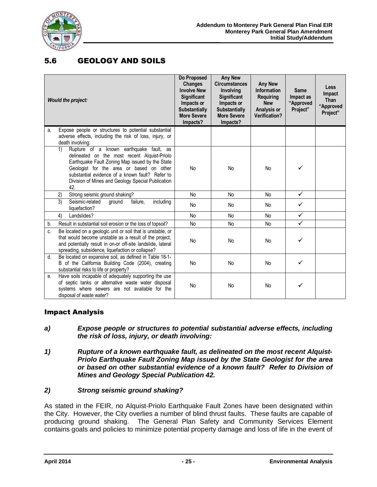

# 5.6 GEOLOGY AND SOILS

|    | <b>Would the project:</b>                                                                                                                                                                                                                                                                                                             | Do Proposed<br><b>Changes</b><br><b>Involve New</b><br><b>Significant</b><br>Impacts or<br><b>Substantially</b><br><b>More Severe</b><br>Impacts? | <b>Any New</b><br><b>Circumstances</b><br><b>Involving</b><br><b>Significant</b><br>Impacts or<br><b>Substantially</b><br><b>More Severe</b><br>Impacts? | <b>Any New</b><br><b>Information</b><br><b>Requiring</b><br><b>New</b><br>Analysis or<br><b>Verification?</b> | <b>Same</b><br>Impact as<br>"Approved<br>Project" | <b>Less</b><br>Impact<br><b>Than</b><br>"Approved<br>Project" |
|----|---------------------------------------------------------------------------------------------------------------------------------------------------------------------------------------------------------------------------------------------------------------------------------------------------------------------------------------|---------------------------------------------------------------------------------------------------------------------------------------------------|----------------------------------------------------------------------------------------------------------------------------------------------------------|---------------------------------------------------------------------------------------------------------------|---------------------------------------------------|---------------------------------------------------------------|
| a. | Expose people or structures to potential substantial<br>adverse effects, including the risk of loss, injury, or<br>death involving:                                                                                                                                                                                                   |                                                                                                                                                   |                                                                                                                                                          |                                                                                                               |                                                   |                                                               |
|    | Rupture of a known earthquake fault, as<br>$\left( \frac{1}{2} \right)$<br>delineated on the most recent Alquist-Priolo<br>Earthquake Fault Zoning Map issued by the State<br>Geologist for the area or based on other<br>substantial evidence of a known fault? Refer to<br>Division of Mines and Geology Special Publication<br>42. | No                                                                                                                                                | No                                                                                                                                                       | No                                                                                                            | ✓                                                 |                                                               |
|    | 2)<br>Strong seismic ground shaking?                                                                                                                                                                                                                                                                                                  | N <sub>o</sub>                                                                                                                                    | N <sub>o</sub>                                                                                                                                           | <b>No</b>                                                                                                     | $\checkmark$                                      |                                                               |
|    | $\overline{3}$<br>Seismic-related<br>ground<br>failure.<br>including<br>liquefaction?                                                                                                                                                                                                                                                 | No                                                                                                                                                | No                                                                                                                                                       | No                                                                                                            | ✓                                                 |                                                               |
|    | Landslides?<br>4)                                                                                                                                                                                                                                                                                                                     | N <sub>o</sub>                                                                                                                                    | N <sub>o</sub>                                                                                                                                           | <b>No</b>                                                                                                     | $\checkmark$                                      |                                                               |
| b. | Result in substantial soil erosion or the loss of topsoil?                                                                                                                                                                                                                                                                            | No.                                                                                                                                               | N <sub>o</sub>                                                                                                                                           | No                                                                                                            | $\checkmark$                                      |                                                               |
| C. | Be located on a geologic unit or soil that is unstable, or<br>that would become unstable as a result of the project,<br>and potentially result in on-or off-site landslide, lateral<br>spreading, subsidence, liquefaction or collapse?                                                                                               | No                                                                                                                                                | No                                                                                                                                                       | <b>No</b>                                                                                                     | ✓                                                 |                                                               |
| d. | Be located on expansive soil, as defined in Table 18-1-<br>B of the California Building Code (2004), creating<br>substantial risks to life or property?                                                                                                                                                                               | <b>No</b>                                                                                                                                         | <b>No</b>                                                                                                                                                | <b>No</b>                                                                                                     | ✓                                                 |                                                               |
| е. | Have soils incapable of adequately supporting the use<br>of septic tanks or alternative waste water disposal<br>systems where sewers are not available for the<br>disposal of waste water?                                                                                                                                            | No                                                                                                                                                | No                                                                                                                                                       | <b>No</b>                                                                                                     | ✓                                                 |                                                               |

### Impact Analysis

- *a) Expose people or structures to potential substantial adverse effects, including the risk of loss, injury, or death involving:*
- *1) Rupture of a known earthquake fault, as delineated on the most recent Alquist-Priolo Earthquake Fault Zoning Map issued by the State Geologist for the area or based on other substantial evidence of a known fault? Refer to Division of Mines and Geology Special Publication 42.*

### *2) Strong seismic ground shaking?*

As stated in the FEIR, no Alquist-Priolo Earthquake Fault Zones have been designated within the City. However, the City overlies a number of blind thrust faults. These faults are capable of producing ground shaking. The General Plan Safety and Community Services Element contains goals and policies to minimize potential property damage and loss of life in the event of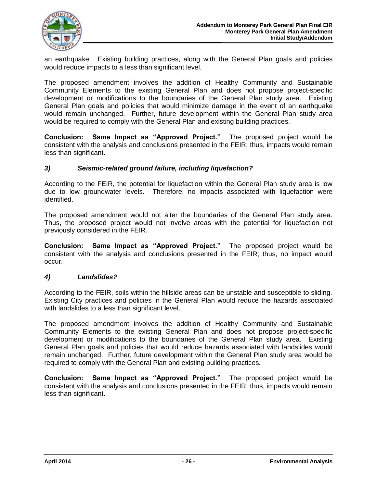

an earthquake. Existing building practices, along with the General Plan goals and policies would reduce impacts to a less than significant level.

The proposed amendment involves the addition of Healthy Community and Sustainable Community Elements to the existing General Plan and does not propose project-specific development or modifications to the boundaries of the General Plan study area. Existing General Plan goals and policies that would minimize damage in the event of an earthquake would remain unchanged. Further, future development within the General Plan study area would be required to comply with the General Plan and existing building practices.

**Conclusion: Same Impact as "Approved Project."** The proposed project would be consistent with the analysis and conclusions presented in the FEIR; thus, impacts would remain less than significant.

#### *3) Seismic-related ground failure, including liquefaction?*

According to the FEIR, the potential for liquefaction within the General Plan study area is low due to low groundwater levels. Therefore, no impacts associated with liquefaction were identified.

The proposed amendment would not alter the boundaries of the General Plan study area. Thus, the proposed project would not involve areas with the potential for liquefaction not previously considered in the FEIR.

**Conclusion: Same Impact as "Approved Project."** The proposed project would be consistent with the analysis and conclusions presented in the FEIR; thus, no impact would occur.

#### *4) Landslides?*

According to the FEIR, soils within the hillside areas can be unstable and susceptible to sliding. Existing City practices and policies in the General Plan would reduce the hazards associated with landslides to a less than significant level.

The proposed amendment involves the addition of Healthy Community and Sustainable Community Elements to the existing General Plan and does not propose project-specific development or modifications to the boundaries of the General Plan study area. Existing General Plan goals and policies that would reduce hazards associated with landslides would remain unchanged. Further, future development within the General Plan study area would be required to comply with the General Plan and existing building practices.

**Conclusion: Same Impact as "Approved Project."** The proposed project would be consistent with the analysis and conclusions presented in the FEIR; thus, impacts would remain less than significant.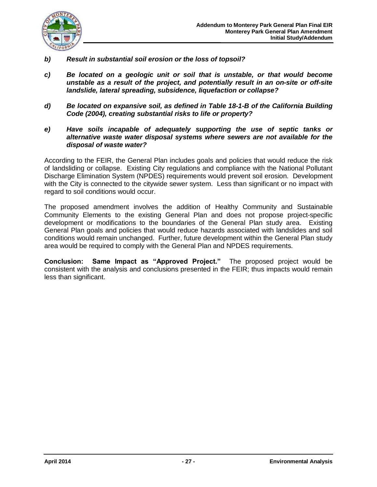

- *b) Result in substantial soil erosion or the loss of topsoil?*
- *c) Be located on a geologic unit or soil that is unstable, or that would become unstable as a result of the project, and potentially result in an on-site or off-site landslide, lateral spreading, subsidence, liquefaction or collapse?*
- *d) Be located on expansive soil, as defined in Table 18-1-B of the California Building Code (2004), creating substantial risks to life or property?*
- *e) Have soils incapable of adequately supporting the use of septic tanks or alternative waste water disposal systems where sewers are not available for the disposal of waste water?*

According to the FEIR, the General Plan includes goals and policies that would reduce the risk of landsliding or collapse. Existing City regulations and compliance with the National Pollutant Discharge Elimination System (NPDES) requirements would prevent soil erosion. Development with the City is connected to the citywide sewer system. Less than significant or no impact with regard to soil conditions would occur.

The proposed amendment involves the addition of Healthy Community and Sustainable Community Elements to the existing General Plan and does not propose project-specific development or modifications to the boundaries of the General Plan study area. Existing General Plan goals and policies that would reduce hazards associated with landslides and soil conditions would remain unchanged. Further, future development within the General Plan study area would be required to comply with the General Plan and NPDES requirements.

**Conclusion: Same Impact as "Approved Project."** The proposed project would be consistent with the analysis and conclusions presented in the FEIR; thus impacts would remain less than significant.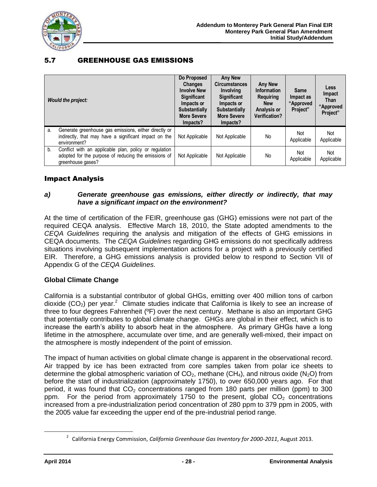

## 5.7 GREENHOUSE GAS EMISSIONS

|    | <b>Would the project:</b>                                                                                                           | Do Proposed<br><b>Changes</b><br><b>Involve New</b><br><b>Significant</b><br>Impacts or<br><b>Substantially</b><br><b>More Severe</b><br>Impacts? | <b>Any New</b><br><b>Circumstances</b><br><b>Involving</b><br><b>Significant</b><br>Impacts or<br><b>Substantially</b><br><b>More Severe</b><br>Impacts? | <b>Any New</b><br><b>Information</b><br>Reguiring<br><b>New</b><br>Analysis or<br><b>Verification?</b> | Same<br>Impact as<br>"Approved<br>Project" | <b>Less</b><br>Impact<br>Than<br>"Approved<br>Project" |
|----|-------------------------------------------------------------------------------------------------------------------------------------|---------------------------------------------------------------------------------------------------------------------------------------------------|----------------------------------------------------------------------------------------------------------------------------------------------------------|--------------------------------------------------------------------------------------------------------|--------------------------------------------|--------------------------------------------------------|
| a. | Generate greenhouse gas emissions, either directly or<br>indirectly, that may have a significant impact on the<br>environment?      | Not Applicable                                                                                                                                    | Not Applicable                                                                                                                                           | No                                                                                                     | Not<br>Applicable                          | Not<br>Applicable                                      |
| b. | Conflict with an applicable plan, policy or regulation<br>adopted for the purpose of reducing the emissions of<br>greenhouse gases? | Not Applicable                                                                                                                                    | Not Applicable                                                                                                                                           | No.                                                                                                    | Not<br>Applicable                          | Not<br>Applicable                                      |

### Impact Analysis

#### *a) Generate greenhouse gas emissions, either directly or indirectly, that may have a significant impact on the environment?*

At the time of certification of the FEIR, greenhouse gas (GHG) emissions were not part of the required CEQA analysis. Effective March 18, 2010, the State adopted amendments to the *CEQA Guidelines* requiring the analysis and mitigation of the effects of GHG emissions in CEQA documents. The *CEQA Guidelines* regarding GHG emissions do not specifically address situations involving subsequent implementation actions for a project with a previously certified EIR. Therefore, a GHG emissions analysis is provided below to respond to Section VII of Appendix G of the *CEQA Guidelines*.

#### **Global Climate Change**

California is a substantial contributor of global GHGs, emitting over 400 million tons of carbon dioxide (CO<sub>2</sub>) per year.<sup>2</sup> Climate studies indicate that California is likely to see an increase of three to four degrees Fahrenheit (ºF) over the next century. Methane is also an important GHG that potentially contributes to global climate change. GHGs are global in their effect, which is to increase the earth's ability to absorb heat in the atmosphere. As primary GHGs have a long lifetime in the atmosphere, accumulate over time, and are generally well-mixed, their impact on the atmosphere is mostly independent of the point of emission.

The impact of human activities on global climate change is apparent in the observational record. Air trapped by ice has been extracted from core samples taken from polar ice sheets to determine the global atmospheric variation of  $CO<sub>2</sub>$ , methane (CH<sub>4</sub>), and nitrous oxide (N<sub>2</sub>O) from before the start of industrialization (approximately 1750), to over 650,000 years ago. For that period, it was found that  $CO<sub>2</sub>$  concentrations ranged from 180 parts per million (ppm) to 300 ppm. For the period from approximately 1750 to the present, global  $CO<sub>2</sub>$  concentrations increased from a pre-industrialization period concentration of 280 ppm to 379 ppm in 2005, with the 2005 value far exceeding the upper end of the pre-industrial period range.

 $\overline{a}$ 

<sup>2</sup> California Energy Commission, *California Greenhouse Gas Inventory for 2000-2011*, August 2013.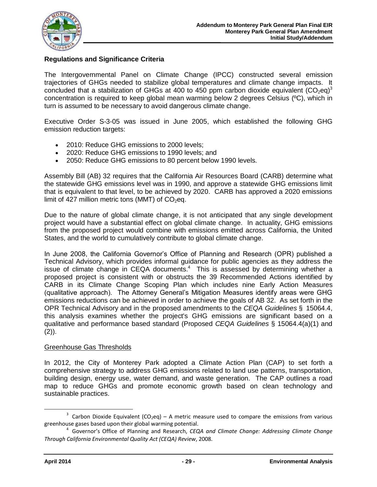

### **Regulations and Significance Criteria**

The Intergovernmental Panel on Climate Change (IPCC) constructed several emission trajectories of GHGs needed to stabilize global temperatures and climate change impacts. It concluded that a stabilization of GHGs at 400 to 450 ppm carbon dioxide equivalent (CO<sub>2</sub>eq)<sup>3</sup> concentration is required to keep global mean warming below 2 degrees Celsius (ºC), which in turn is assumed to be necessary to avoid dangerous climate change.

Executive Order S-3-05 was issued in June 2005, which established the following GHG emission reduction targets:

- 2010: Reduce GHG emissions to 2000 levels:
- 2020: Reduce GHG emissions to 1990 levels; and
- 2050: Reduce GHG emissions to 80 percent below 1990 levels.

Assembly Bill (AB) 32 requires that the California Air Resources Board (CARB) determine what the statewide GHG emissions level was in 1990, and approve a statewide GHG emissions limit that is equivalent to that level, to be achieved by 2020. CARB has approved a 2020 emissions limit of 427 million metric tons (MMT) of  $CO<sub>2</sub>$ eq.

Due to the nature of global climate change, it is not anticipated that any single development project would have a substantial effect on global climate change. In actuality, GHG emissions from the proposed project would combine with emissions emitted across California, the United States, and the world to cumulatively contribute to global climate change.

In June 2008, the California Governor's Office of Planning and Research (OPR) published a Technical Advisory, which provides informal guidance for public agencies as they address the issue of climate change in CEQA documents.<sup>4</sup> This is assessed by determining whether a proposed project is consistent with or obstructs the 39 Recommended Actions identified by CARB in its Climate Change Scoping Plan which includes nine Early Action Measures (qualitative approach). The Attorney General's Mitigation Measures identify areas were GHG emissions reductions can be achieved in order to achieve the goals of AB 32. As set forth in the OPR Technical Advisory and in the proposed amendments to the *CEQA Guidelines* § 15064.4, this analysis examines whether the project's GHG emissions are significant based on a qualitative and performance based standard (Proposed *CEQA Guidelines* § 15064.4(a)(1) and  $(2)$ ).

#### Greenhouse Gas Thresholds

In 2012, the City of Monterey Park adopted a Climate Action Plan (CAP) to set forth a comprehensive strategy to address GHG emissions related to land use patterns, transportation, building design, energy use, water demand, and waste generation. The CAP outlines a road map to reduce GHGs and promote economic growth based on clean technology and sustainable practices.

 $\overline{a}$ 

 $3$  Carbon Dioxide Equivalent (CO<sub>2</sub>eq) – A metric measure used to compare the emissions from various greenhouse gases based upon their global warming potential.

<sup>4</sup> Governor's Office of Planning and Research, *CEQA and Climate Change: Addressing Climate Change Through California Environmental Quality Act (CEQA) Review*, 2008.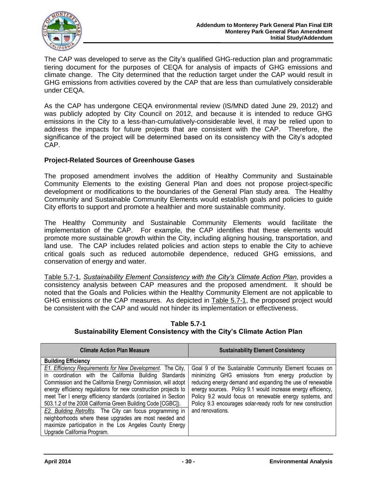

The CAP was developed to serve as the City's qualified GHG-reduction plan and programmatic tiering document for the purposes of CEQA for analysis of impacts of GHG emissions and climate change. The City determined that the reduction target under the CAP would result in GHG emissions from activities covered by the CAP that are less than cumulatively considerable under CEQA.

As the CAP has undergone CEQA environmental review (IS/MND dated June 29, 2012) and was publicly adopted by City Council on 2012, and because it is intended to reduce GHG emissions in the City to a less-than-cumulatively-considerable level, it may be relied upon to address the impacts for future projects that are consistent with the CAP. Therefore, the significance of the project will be determined based on its consistency with the City's adopted CAP.

#### **Project-Related Sources of Greenhouse Gases**

The proposed amendment involves the addition of Healthy Community and Sustainable Community Elements to the existing General Plan and does not propose project-specific development or modifications to the boundaries of the General Plan study area. The Healthy Community and Sustainable Community Elements would establish goals and policies to guide City efforts to support and promote a healthier and more sustainable community.

The Healthy Community and Sustainable Community Elements would facilitate the implementation of the CAP. For example, the CAP identifies that these elements would promote more sustainable growth within the City, including aligning housing, transportation, and land use. The CAP includes related policies and action steps to enable the City to achieve critical goals such as reduced automobile dependence, reduced GHG emissions, and conservation of energy and water.

Table 5.7-1, *Sustainability Element Consistency with the City's Climate Action Plan*, provides a consistency analysis between CAP measures and the proposed amendment. It should be noted that the Goals and Policies within the Healthy Community Element are not applicable to GHG emissions or the CAP measures. As depicted in Table 5.7-1, the proposed project would be consistent with the CAP and would not hinder its implementation or effectiveness.

#### **Table 5.7-1 Sustainability Element Consistency with the City's Climate Action Plan**

| <b>Climate Action Plan Measure</b>                                | <b>Sustainability Element Consistency</b>                    |
|-------------------------------------------------------------------|--------------------------------------------------------------|
| <b>Building Efficiency</b>                                        |                                                              |
| <b>E1. Efficiency Requirements for New Development.</b> The City, | Goal 9 of the Sustainable Community Element focuses on       |
| in coordination with the California Building Standards            | minimizing GHG emissions from energy production by           |
| Commission and the California Energy Commission, will adopt       | reducing energy demand and expanding the use of renewable    |
| energy efficiency regulations for new construction projects to    | energy sources. Policy 9.1 would increase energy efficiency, |
| meet Tier I energy efficiency standards (contained in Section     | Policy 9.2 would focus on renewable energy systems, and      |
| 503.1.2 of the 2008 California Green Building Code [CGBC]).       | Policy 9.3 encourages solar-ready roofs for new construction |
| <b>E2. Building Retrofits.</b> The City can focus programming in  | and renovations.                                             |
| neighborhoods where these upgrades are most needed and            |                                                              |
| maximize participation in the Los Angeles County Energy           |                                                              |
| Upgrade California Program.                                       |                                                              |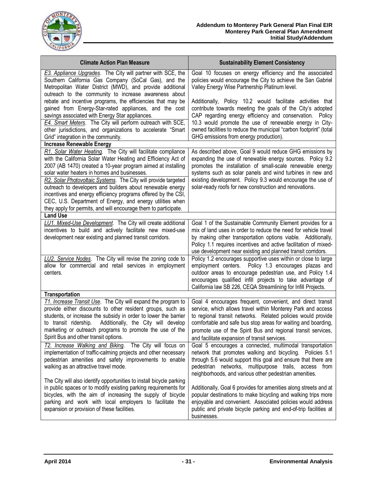

| <b>Climate Action Plan Measure</b>                                                                                                                                                                                                                                                                                                                                  | <b>Sustainability Element Consistency</b>                                                                                                                                                                                                                                                                                                                                    |
|---------------------------------------------------------------------------------------------------------------------------------------------------------------------------------------------------------------------------------------------------------------------------------------------------------------------------------------------------------------------|------------------------------------------------------------------------------------------------------------------------------------------------------------------------------------------------------------------------------------------------------------------------------------------------------------------------------------------------------------------------------|
| E3. Appliance Upgrades. The City will partner with SCE, the<br>Southern California Gas Company (SoCal Gas), and the<br>Metropolitan Water District (MWD), and provide additional<br>outreach to the community to increase awareness about                                                                                                                           | Goal 10 focuses on energy efficiency and the associated<br>policies would encourage the City to achieve the San Gabriel<br>Valley Energy Wise Partnership Platinum level.                                                                                                                                                                                                    |
| rebate and incentive programs, the efficiencies that may be<br>gained from Energy-Star-rated appliances, and the cost<br>savings associated with Energy Star appliances.<br>E4. Smart Meters. The City will perform outreach with SCE,<br>other jurisdictions, and organizations to accelerate "Smart                                                               | Additionally, Policy 10.2 would facilitate activities that<br>contribute towards meeting the goals of the City's adopted<br>CAP regarding energy efficiency and conservation.<br>Policy<br>10.3 would promote the use of renewable energy in City-<br>owned facilities to reduce the municipal "carbon footprint" (total                                                     |
| Grid" integration in the community.                                                                                                                                                                                                                                                                                                                                 | GHG emissions from energy production).                                                                                                                                                                                                                                                                                                                                       |
| <b>Increase Renewable Energy</b>                                                                                                                                                                                                                                                                                                                                    |                                                                                                                                                                                                                                                                                                                                                                              |
| R1. Solar Water Heating. The City will facilitate compliance<br>with the California Solar Water Heating and Efficiency Act of<br>2007 (AB 1470) created a 10-year program aimed at installing<br>solar water heaters in homes and businesses.                                                                                                                       | As described above, Goal 9 would reduce GHG emissions by<br>expanding the use of renewable energy sources. Policy 9.2<br>promotes the installation of small-scale renewable energy<br>systems such as solar panels and wind turbines in new and                                                                                                                              |
| R2. Solar Photovoltaic Systems. The City will provide targeted<br>outreach to developers and builders about renewable energy<br>incentives and energy efficiency programs offered by the CSI,<br>CEC, U.S. Department of Energy, and energy utilities when<br>they apply for permits, and will encourage them to participate.                                       | existing development. Policy 9.3 would encourage the use of<br>solar-ready roofs for new construction and renovations.                                                                                                                                                                                                                                                       |
| <b>Land Use</b>                                                                                                                                                                                                                                                                                                                                                     |                                                                                                                                                                                                                                                                                                                                                                              |
| LU1. Mixed-Use Development. The City will create additional<br>incentives to build and actively facilitate new mixed-use<br>development near existing and planned transit corridors.                                                                                                                                                                                | Goal 1 of the Sustainable Community Element provides for a<br>mix of land uses in order to reduce the need for vehicle travel<br>by making other transportation options viable. Additionally,<br>Policy 1.1 requires incentives and active facilitation of mixed-<br>use development near existing and planned transit corridors.                                            |
| LU2. Service Nodes. The City will revise the zoning code to<br>allow for commercial and retail services in employment<br>centers.                                                                                                                                                                                                                                   | Policy 1.2 encourages supportive uses within or close to large<br>employment centers. Policy 1.3 encourages plazas and<br>outdoor areas to encourage pedestrian use, and Policy 1.4<br>encourages qualified infill projects to take advantage of<br>California law SB 226, CEQA Streamlining for Infill Projects.                                                            |
| <b>Transportation</b>                                                                                                                                                                                                                                                                                                                                               |                                                                                                                                                                                                                                                                                                                                                                              |
| T1. Increase Transit Use. The City will expand the program to<br>provide either discounts to other resident groups, such as<br>students, or increase the subsidy in order to lower the barrier<br>Additionally, the City will develop<br>to transit ridership.<br>marketing or outreach programs to promote the use of the<br>Spirit Bus and other transit options. | Goal 4 encourages frequent, convenient, and direct transit<br>service, which allows travel within Monterey Park and access<br>to regional transit networks. Related policies would provide<br>comfortable and safe bus stop areas for waiting and boarding,<br>promote use of the Spirit Bus and regional transit services,<br>and facilitate expansion of transit services. |
| T2. Increase Walking and Biking. The City will focus on<br>implementation of traffic-calming projects and other necessary<br>pedestrian amenities and safety improvements to enable<br>walking as an attractive travel mode.                                                                                                                                        | Goal 5 encourages a connected, multimodal transportation<br>network that promotes walking and bicycling. Policies 5.1<br>through 5.6 would support this goal and ensure that there are<br>pedestrian networks, multipurpose trails, access from<br>neighborhoods, and various other pedestrian amenities.                                                                    |
| The City will also identify opportunities to install bicycle parking<br>in public spaces or to modify existing parking requirements for<br>bicycles, with the aim of increasing the supply of bicycle<br>parking and work with local employers to facilitate the<br>expansion or provision of these facilities.                                                     | Additionally, Goal 6 provides for amenities along streets and at<br>popular destinations to make bicycling and walking trips more<br>enjoyable and convenient. Associated policies would address<br>public and private bicycle parking and end-of-trip facilities at<br>businesses.                                                                                          |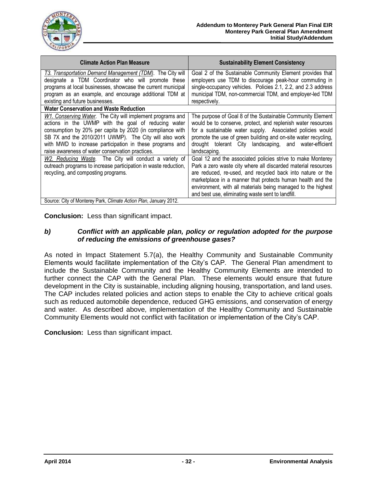

| <b>Climate Action Plan Measure</b>                                                                                                                                                                                                                                                                                                                       | <b>Sustainability Element Consistency</b>                                                                                                                                                                                                                                                                                                                                     |
|----------------------------------------------------------------------------------------------------------------------------------------------------------------------------------------------------------------------------------------------------------------------------------------------------------------------------------------------------------|-------------------------------------------------------------------------------------------------------------------------------------------------------------------------------------------------------------------------------------------------------------------------------------------------------------------------------------------------------------------------------|
| <b>T3. Transportation Demand Management (TDM)</b> . The City will<br>designate a TDM Coordinator who will promote these<br>programs at local businesses, showcase the current municipal<br>program as an example, and encourage additional TDM at<br>existing and future businesses.                                                                     | Goal 2 of the Sustainable Community Element provides that<br>employers use TDM to discourage peak-hour commuting in<br>single-occupancy vehicles. Policies 2.1, 2.2, and 2.3 address<br>municipal TDM, non-commercial TDM, and employer-led TDM<br>respectively.                                                                                                              |
| <b>Water Conservation and Waste Reduction</b>                                                                                                                                                                                                                                                                                                            |                                                                                                                                                                                                                                                                                                                                                                               |
| W1. Conserving Water. The City will implement programs and<br>actions in the UWMP with the goal of reducing water<br>consumption by 20% per capita by 2020 (in compliance with<br>SB 7X and the 2010/2011 UWMP). The City will also work<br>with MWD to increase participation in these programs and<br>raise awareness of water conservation practices. | The purpose of Goal 8 of the Sustainable Community Element<br>would be to conserve, protect, and replenish water resources<br>for a sustainable water supply. Associated policies would<br>promote the use of green building and on-site water recycling,<br>drought tolerant City landscaping, and water-efficient<br>landscaping.                                           |
| W2. Reducing Waste. The City will conduct a variety of<br>outreach programs to increase participation in waste reduction,<br>recycling, and composting programs.                                                                                                                                                                                         | Goal 12 and the associated policies strive to make Monterey<br>Park a zero waste city where all discarded material resources<br>are reduced, re-used, and recycled back into nature or the<br>marketplace in a manner that protects human health and the<br>environment, with all materials being managed to the highest<br>and best use, eliminating waste sent to landfill. |
| Source: City of Monterey Park, Climate Action Plan, January 2012.                                                                                                                                                                                                                                                                                        |                                                                                                                                                                                                                                                                                                                                                                               |

**Conclusion:** Less than significant impact.

#### *b) Conflict with an applicable plan, policy or regulation adopted for the purpose of reducing the emissions of greenhouse gases?*

As noted in Impact Statement 5.7(a), the Healthy Community and Sustainable Community Elements would facilitate implementation of the City's CAP. The General Plan amendment to include the Sustainable Community and the Healthy Community Elements are intended to further connect the CAP with the General Plan. These elements would ensure that future development in the City is sustainable, including aligning housing, transportation, and land uses. The CAP includes related policies and action steps to enable the City to achieve critical goals such as reduced automobile dependence, reduced GHG emissions, and conservation of energy and water. As described above, implementation of the Healthy Community and Sustainable Community Elements would not conflict with facilitation or implementation of the City's CAP.

**Conclusion:** Less than significant impact.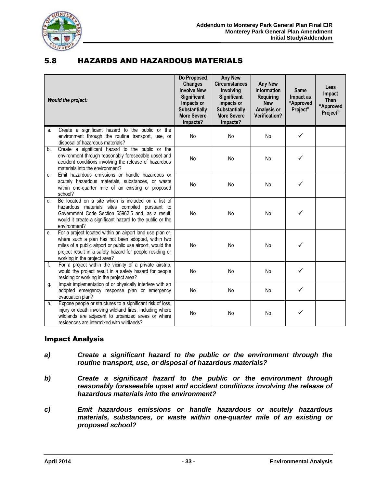

# 5.8 HAZARDS AND HAZARDOUS MATERIALS

|    | <b>Would the project:</b>                                                                                                                                                                                                                                                 | Do Proposed<br><b>Changes</b><br><b>Involve New</b><br><b>Significant</b><br>Impacts or<br><b>Substantially</b><br><b>More Severe</b><br>Impacts? | <b>Any New</b><br><b>Circumstances</b><br><b>Involvina</b><br><b>Significant</b><br>Impacts or<br><b>Substantially</b><br><b>More Severe</b><br>Impacts? | <b>Any New</b><br>Information<br><b>Requiring</b><br><b>New</b><br>Analysis or<br><b>Verification?</b> | <b>Same</b><br>Impact as<br>"Approved<br>Project" | <b>Less</b><br>Impact<br><b>Than</b><br>"Approved<br>Project" |
|----|---------------------------------------------------------------------------------------------------------------------------------------------------------------------------------------------------------------------------------------------------------------------------|---------------------------------------------------------------------------------------------------------------------------------------------------|----------------------------------------------------------------------------------------------------------------------------------------------------------|--------------------------------------------------------------------------------------------------------|---------------------------------------------------|---------------------------------------------------------------|
| a. | Create a significant hazard to the public or the<br>environment through the routine transport, use, or<br>disposal of hazardous materials?                                                                                                                                | No                                                                                                                                                | No                                                                                                                                                       | <b>No</b>                                                                                              | ✓                                                 |                                                               |
| b. | Create a significant hazard to the public or the<br>environment through reasonably foreseeable upset and<br>accident conditions involving the release of hazardous<br>materials into the environment?                                                                     | <b>No</b>                                                                                                                                         | No                                                                                                                                                       | <b>No</b>                                                                                              | ✓                                                 |                                                               |
| c. | Emit hazardous emissions or handle hazardous or<br>acutely hazardous materials, substances, or waste<br>within one-quarter mile of an existing or proposed<br>school?                                                                                                     | No                                                                                                                                                | No                                                                                                                                                       | No                                                                                                     | ✓                                                 |                                                               |
| d. | Be located on a site which is included on a list of<br>hazardous materials sites compiled pursuant to<br>Government Code Section 65962.5 and, as a result,<br>would it create a significant hazard to the public or the<br>environment?                                   | <b>No</b>                                                                                                                                         | <b>No</b>                                                                                                                                                | <b>No</b>                                                                                              | ✓                                                 |                                                               |
| е. | For a project located within an airport land use plan or,<br>where such a plan has not been adopted, within two<br>miles of a public airport or public use airport, would the<br>project result in a safety hazard for people residing or<br>working in the project area? | <b>No</b>                                                                                                                                         | No                                                                                                                                                       | <b>No</b>                                                                                              | ✓                                                 |                                                               |
| f. | For a project within the vicinity of a private airstrip,<br>would the project result in a safety hazard for people<br>residing or working in the project area?                                                                                                            | No                                                                                                                                                | No                                                                                                                                                       | <b>No</b>                                                                                              | ✓                                                 |                                                               |
| g. | Impair implementation of or physically interfere with an<br>adopted emergency response plan or emergency<br>evacuation plan?                                                                                                                                              | No                                                                                                                                                | No                                                                                                                                                       | No                                                                                                     | ✓                                                 |                                                               |
| h. | Expose people or structures to a significant risk of loss,<br>injury or death involving wildland fires, including where<br>wildlands are adjacent to urbanized areas or where<br>residences are intermixed with wildlands?                                                | No                                                                                                                                                | No                                                                                                                                                       | <b>No</b>                                                                                              | ✓                                                 |                                                               |

#### Impact Analysis

- *a) Create a significant hazard to the public or the environment through the routine transport, use, or disposal of hazardous materials?*
- *b) Create a significant hazard to the public or the environment through reasonably foreseeable upset and accident conditions involving the release of hazardous materials into the environment?*
- *c) Emit hazardous emissions or handle hazardous or acutely hazardous materials, substances, or waste within one-quarter mile of an existing or proposed school?*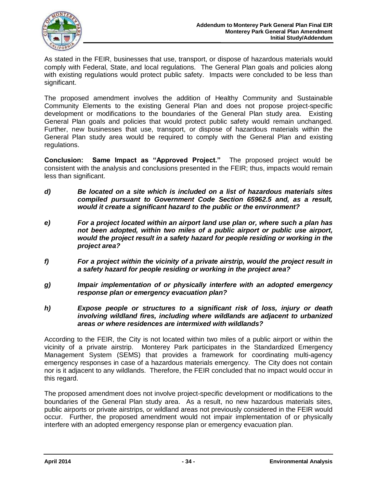

As stated in the FEIR, businesses that use, transport, or dispose of hazardous materials would comply with Federal, State, and local regulations. The General Plan goals and policies along with existing regulations would protect public safety. Impacts were concluded to be less than significant.

The proposed amendment involves the addition of Healthy Community and Sustainable Community Elements to the existing General Plan and does not propose project-specific development or modifications to the boundaries of the General Plan study area. Existing General Plan goals and policies that would protect public safety would remain unchanged. Further, new businesses that use, transport, or dispose of hazardous materials within the General Plan study area would be required to comply with the General Plan and existing regulations.

**Conclusion: Same Impact as "Approved Project."** The proposed project would be consistent with the analysis and conclusions presented in the FEIR; thus, impacts would remain less than significant.

- *d) Be located on a site which is included on a list of hazardous materials sites compiled pursuant to Government Code Section 65962.5 and, as a result, would it create a significant hazard to the public or the environment?*
- *e) For a project located within an airport land use plan or, where such a plan has not been adopted, within two miles of a public airport or public use airport, would the project result in a safety hazard for people residing or working in the project area?*
- *f) For a project within the vicinity of a private airstrip, would the project result in a safety hazard for people residing or working in the project area?*
- *g) Impair implementation of or physically interfere with an adopted emergency response plan or emergency evacuation plan?*
- *h) Expose people or structures to a significant risk of loss, injury or death involving wildland fires, including where wildlands are adjacent to urbanized areas or where residences are intermixed with wildlands?*

According to the FEIR, the City is not located within two miles of a public airport or within the vicinity of a private airstrip. Monterey Park participates in the Standardized Emergency Management System (SEMS) that provides a framework for coordinating multi-agency emergency responses in case of a hazardous materials emergency. The City does not contain nor is it adjacent to any wildlands. Therefore, the FEIR concluded that no impact would occur in this regard.

The proposed amendment does not involve project-specific development or modifications to the boundaries of the General Plan study area. As a result, no new hazardous materials sites, public airports or private airstrips, or wildland areas not previously considered in the FEIR would occur. Further, the proposed amendment would not impair implementation of or physically interfere with an adopted emergency response plan or emergency evacuation plan.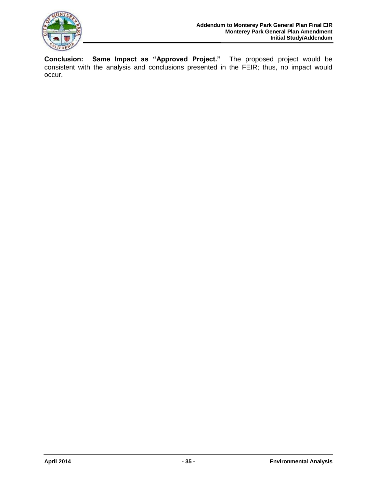

**Conclusion: Same Impact as "Approved Project."** The proposed project would be consistent with the analysis and conclusions presented in the FEIR; thus, no impact would occur.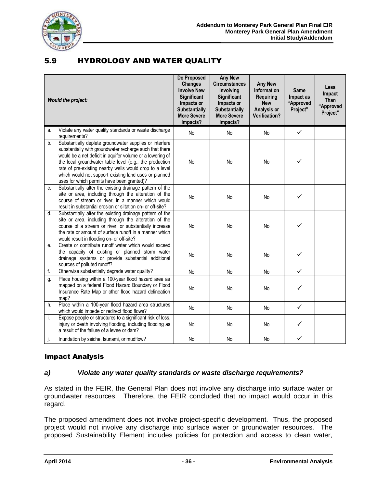

# 5.9 HYDROLOGY AND WATER QUALITY

|                | <b>Would the project:</b>                                                                                                                                                                                                                                                                                                                                                                                    | Do Proposed<br><b>Changes</b><br><b>Involve New</b><br><b>Significant</b><br>Impacts or<br><b>Substantially</b><br><b>More Severe</b><br>Impacts? | <b>Any New</b><br><b>Circumstances</b><br>Involving<br><b>Significant</b><br>Impacts or<br><b>Substantially</b><br><b>More Severe</b><br>Impacts? | <b>Any New</b><br>Information<br><b>Requiring</b><br><b>New</b><br>Analysis or<br><b>Verification?</b> | <b>Same</b><br>Impact as<br>"Approved<br>Project" | <b>Less</b><br>Impact<br>Than<br>"Approved<br>Project" |
|----------------|--------------------------------------------------------------------------------------------------------------------------------------------------------------------------------------------------------------------------------------------------------------------------------------------------------------------------------------------------------------------------------------------------------------|---------------------------------------------------------------------------------------------------------------------------------------------------|---------------------------------------------------------------------------------------------------------------------------------------------------|--------------------------------------------------------------------------------------------------------|---------------------------------------------------|--------------------------------------------------------|
| a.             | Violate any water quality standards or waste discharge<br>requirements?                                                                                                                                                                                                                                                                                                                                      | No                                                                                                                                                | <b>No</b>                                                                                                                                         | No                                                                                                     | $\checkmark$                                      |                                                        |
| b.             | Substantially deplete groundwater supplies or interfere<br>substantially with groundwater recharge such that there<br>would be a net deficit in aquifer volume or a lowering of<br>the local groundwater table level (e.g., the production<br>rate of pre-existing nearby wells would drop to a level<br>which would not support existing land uses or planned<br>uses for which permits have been granted)? | No                                                                                                                                                | <b>No</b>                                                                                                                                         | <b>No</b>                                                                                              | ✓                                                 |                                                        |
| C.             | Substantially alter the existing drainage pattern of the<br>site or area, including through the alteration of the<br>course of stream or river, in a manner which would<br>result in substantial erosion or siltation on- or off-site?                                                                                                                                                                       | No                                                                                                                                                | No                                                                                                                                                | No                                                                                                     | ✓                                                 |                                                        |
| d.             | Substantially alter the existing drainage pattern of the<br>site or area, including through the alteration of the<br>course of a stream or river, or substantially increase<br>the rate or amount of surface runoff in a manner which<br>would result in flooding on- or off-site?                                                                                                                           | No                                                                                                                                                | No                                                                                                                                                | No                                                                                                     | ✓                                                 |                                                        |
| e <sub>1</sub> | Create or contribute runoff water which would exceed<br>the capacity of existing or planned storm water<br>drainage systems or provide substantial additional<br>sources of polluted runoff?                                                                                                                                                                                                                 | No                                                                                                                                                | No                                                                                                                                                | No                                                                                                     | ✓                                                 |                                                        |
| f.             | Otherwise substantially degrade water quality?                                                                                                                                                                                                                                                                                                                                                               | <b>No</b>                                                                                                                                         | <b>No</b>                                                                                                                                         | <b>No</b>                                                                                              | $\blacktriangledown$                              |                                                        |
| g.             | Place housing within a 100-year flood hazard area as<br>mapped on a federal Flood Hazard Boundary or Flood<br>Insurance Rate Map or other flood hazard delineation<br>map?                                                                                                                                                                                                                                   | No                                                                                                                                                | No                                                                                                                                                | No                                                                                                     | ✓                                                 |                                                        |
| h.             | Place within a 100-year flood hazard area structures<br>which would impede or redirect flood flows?                                                                                                                                                                                                                                                                                                          | No                                                                                                                                                | No                                                                                                                                                | No                                                                                                     | $\checkmark$                                      |                                                        |
| i.             | Expose people or structures to a significant risk of loss,<br>injury or death involving flooding, including flooding as<br>a result of the failure of a levee or dam?                                                                                                                                                                                                                                        | No                                                                                                                                                | <b>No</b>                                                                                                                                         | <b>No</b>                                                                                              | ✓                                                 |                                                        |
| j.             | Inundation by seiche, tsunami, or mudflow?                                                                                                                                                                                                                                                                                                                                                                   | No                                                                                                                                                | No                                                                                                                                                | No                                                                                                     | ✓                                                 |                                                        |

## Impact Analysis

#### *a) Violate any water quality standards or waste discharge requirements?*

As stated in the FEIR, the General Plan does not involve any discharge into surface water or groundwater resources. Therefore, the FEIR concluded that no impact would occur in this regard.

The proposed amendment does not involve project-specific development. Thus, the proposed project would not involve any discharge into surface water or groundwater resources. The proposed Sustainability Element includes policies for protection and access to clean water,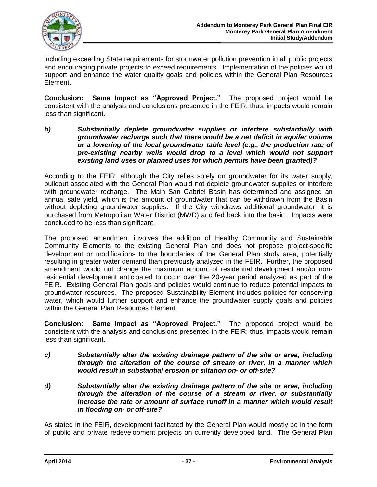

including exceeding State requirements for stormwater pollution prevention in all public projects and encouraging private projects to exceed requirements. Implementation of the policies would support and enhance the water quality goals and policies within the General Plan Resources Element.

**Conclusion: Same Impact as "Approved Project."** The proposed project would be consistent with the analysis and conclusions presented in the FEIR; thus, impacts would remain less than significant.

*b) Substantially deplete groundwater supplies or interfere substantially with groundwater recharge such that there would be a net deficit in aquifer volume or a lowering of the local groundwater table level (e.g., the production rate of pre-existing nearby wells would drop to a level which would not support existing land uses or planned uses for which permits have been granted)?*

According to the FEIR, although the City relies solely on groundwater for its water supply, buildout associated with the General Plan would not deplete groundwater supplies or interfere with groundwater recharge. The Main San Gabriel Basin has determined and assigned an annual safe yield, which is the amount of groundwater that can be withdrawn from the Basin without depleting groundwater supplies. If the City withdraws additional groundwater, it is purchased from Metropolitan Water District (MWD) and fed back into the basin. Impacts were concluded to be less than significant.

The proposed amendment involves the addition of Healthy Community and Sustainable Community Elements to the existing General Plan and does not propose project-specific development or modifications to the boundaries of the General Plan study area, potentially resulting in greater water demand than previously analyzed in the FEIR. Further, the proposed amendment would not change the maximum amount of residential development and/or nonresidential development anticipated to occur over the 20-year period analyzed as part of the FEIR. Existing General Plan goals and policies would continue to reduce potential impacts to groundwater resources. The proposed Sustainability Element includes policies for conserving water, which would further support and enhance the groundwater supply goals and policies within the General Plan Resources Element.

**Conclusion: Same Impact as "Approved Project."** The proposed project would be consistent with the analysis and conclusions presented in the FEIR; thus, impacts would remain less than significant.

- *c) Substantially alter the existing drainage pattern of the site or area, including through the alteration of the course of stream or river, in a manner which would result in substantial erosion or siltation on- or off-site?*
- *d) Substantially alter the existing drainage pattern of the site or area, including through the alteration of the course of a stream or river, or substantially increase the rate or amount of surface runoff in a manner which would result in flooding on- or off-site?*

As stated in the FEIR, development facilitated by the General Plan would mostly be in the form of public and private redevelopment projects on currently developed land. The General Plan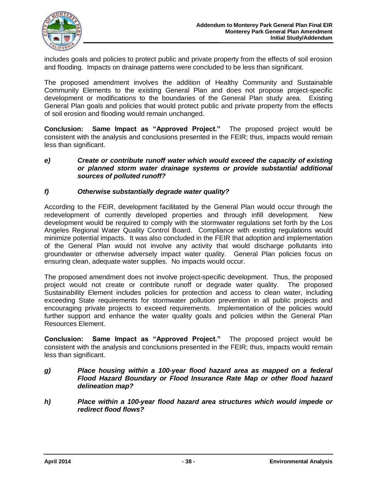

includes goals and policies to protect public and private property from the effects of soil erosion and flooding. Impacts on drainage patterns were concluded to be less than significant.

The proposed amendment involves the addition of Healthy Community and Sustainable Community Elements to the existing General Plan and does not propose project-specific development or modifications to the boundaries of the General Plan study area. Existing General Plan goals and policies that would protect public and private property from the effects of soil erosion and flooding would remain unchanged.

**Conclusion: Same Impact as "Approved Project."** The proposed project would be consistent with the analysis and conclusions presented in the FEIR; thus, impacts would remain less than significant.

*e) Create or contribute runoff water which would exceed the capacity of existing or planned storm water drainage systems or provide substantial additional sources of polluted runoff?*

#### *f) Otherwise substantially degrade water quality?*

According to the FEIR, development facilitated by the General Plan would occur through the redevelopment of currently developed properties and through infill development. New development would be required to comply with the stormwater regulations set forth by the Los Angeles Regional Water Quality Control Board. Compliance with existing regulations would minimize potential impacts. It was also concluded in the FEIR that adoption and implementation of the General Plan would not involve any activity that would discharge pollutants into groundwater or otherwise adversely impact water quality. General Plan policies focus on ensuring clean, adequate water supplies. No impacts would occur.

The proposed amendment does not involve project-specific development. Thus, the proposed project would not create or contribute runoff or degrade water quality. The proposed Sustainability Element includes policies for protection and access to clean water, including exceeding State requirements for stormwater pollution prevention in all public projects and encouraging private projects to exceed requirements. Implementation of the policies would further support and enhance the water quality goals and policies within the General Plan Resources Element.

**Conclusion: Same Impact as "Approved Project."** The proposed project would be consistent with the analysis and conclusions presented in the FEIR; thus, impacts would remain less than significant.

- *g) Place housing within a 100-year flood hazard area as mapped on a federal Flood Hazard Boundary or Flood Insurance Rate Map or other flood hazard delineation map?*
- *h) Place within a 100-year flood hazard area structures which would impede or redirect flood flows?*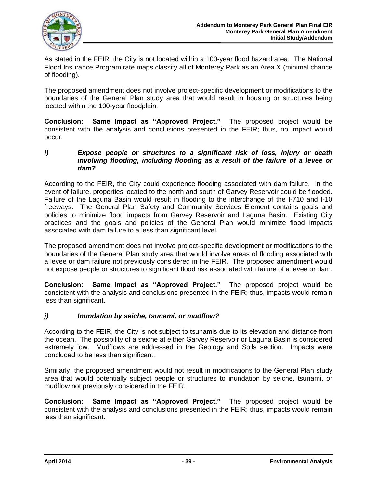

As stated in the FEIR, the City is not located within a 100-year flood hazard area. The National Flood Insurance Program rate maps classify all of Monterey Park as an Area X (minimal chance of flooding).

The proposed amendment does not involve project-specific development or modifications to the boundaries of the General Plan study area that would result in housing or structures being located within the 100-year floodplain.

**Conclusion: Same Impact as "Approved Project."** The proposed project would be consistent with the analysis and conclusions presented in the FEIR; thus, no impact would occur.

*i) Expose people or structures to a significant risk of loss, injury or death involving flooding, including flooding as a result of the failure of a levee or dam?*

According to the FEIR, the City could experience flooding associated with dam failure. In the event of failure, properties located to the north and south of Garvey Reservoir could be flooded. Failure of the Laguna Basin would result in flooding to the interchange of the I-710 and I-10 freeways. The General Plan Safety and Community Services Element contains goals and policies to minimize flood impacts from Garvey Reservoir and Laguna Basin. Existing City practices and the goals and policies of the General Plan would minimize flood impacts associated with dam failure to a less than significant level.

The proposed amendment does not involve project-specific development or modifications to the boundaries of the General Plan study area that would involve areas of flooding associated with a levee or dam failure not previously considered in the FEIR. The proposed amendment would not expose people or structures to significant flood risk associated with failure of a levee or dam.

**Conclusion: Same Impact as "Approved Project."** The proposed project would be consistent with the analysis and conclusions presented in the FEIR; thus, impacts would remain less than significant.

### *j) Inundation by seiche, tsunami, or mudflow?*

According to the FEIR, the City is not subject to tsunamis due to its elevation and distance from the ocean. The possibility of a seiche at either Garvey Reservoir or Laguna Basin is considered extremely low. Mudflows are addressed in the Geology and Soils section. Impacts were concluded to be less than significant.

Similarly, the proposed amendment would not result in modifications to the General Plan study area that would potentially subject people or structures to inundation by seiche, tsunami, or mudflow not previously considered in the FEIR.

**Conclusion: Same Impact as "Approved Project."** The proposed project would be consistent with the analysis and conclusions presented in the FEIR; thus, impacts would remain less than significant.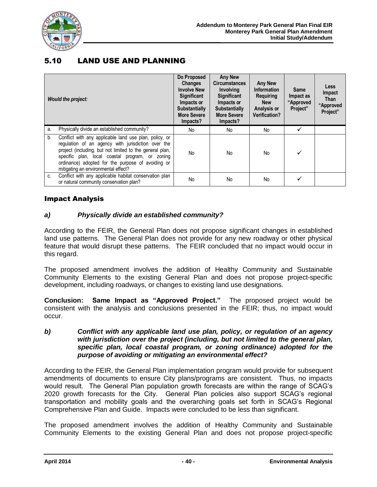

# 5.10 LAND USE AND PLANNING

|    | <b>Would the project:</b>                                                                                                                                                                                                                                                                                               | Do Proposed<br><b>Changes</b><br><b>Involve New</b><br><b>Significant</b><br>Impacts or<br><b>Substantially</b><br><b>More Severe</b><br>Impacts? | <b>Any New</b><br><b>Circumstances</b><br><b>Involving</b><br><b>Significant</b><br>Impacts or<br><b>Substantially</b><br><b>More Severe</b><br>Impacts? | Any New<br><b>Information</b><br><b>Requiring</b><br><b>New</b><br>Analysis or<br><b>Verification?</b> | <b>Same</b><br>Impact as<br>"Approved<br>Project" | <b>Less</b><br>Impact<br><b>Than</b><br>"Approved<br>Project" |
|----|-------------------------------------------------------------------------------------------------------------------------------------------------------------------------------------------------------------------------------------------------------------------------------------------------------------------------|---------------------------------------------------------------------------------------------------------------------------------------------------|----------------------------------------------------------------------------------------------------------------------------------------------------------|--------------------------------------------------------------------------------------------------------|---------------------------------------------------|---------------------------------------------------------------|
| a. | Physically divide an established community?                                                                                                                                                                                                                                                                             | No.                                                                                                                                               | No                                                                                                                                                       | No                                                                                                     |                                                   |                                                               |
| b. | Conflict with any applicable land use plan, policy, or<br>regulation of an agency with jurisdiction over the<br>project (including, but not limited to the general plan,<br>specific plan, local coastal program, or zoning<br>ordinance) adopted for the purpose of avoiding or<br>mitigating an environmental effect? | No                                                                                                                                                | No                                                                                                                                                       | No                                                                                                     |                                                   |                                                               |
| C. | Conflict with any applicable habitat conservation plan<br>or natural community conservation plan?                                                                                                                                                                                                                       | No                                                                                                                                                | No                                                                                                                                                       | No                                                                                                     |                                                   |                                                               |

#### Impact Analysis

#### *a) Physically divide an established community?*

According to the FEIR, the General Plan does not propose significant changes in established land use patterns. The General Plan does not provide for any new roadway or other physical feature that would disrupt these patterns. The FEIR concluded that no impact would occur in this regard.

The proposed amendment involves the addition of Healthy Community and Sustainable Community Elements to the existing General Plan and does not propose project-specific development, including roadways, or changes to existing land use designations.

**Conclusion: Same Impact as "Approved Project."** The proposed project would be consistent with the analysis and conclusions presented in the FEIR; thus, no impact would occur.

*b) Conflict with any applicable land use plan, policy, or regulation of an agency with jurisdiction over the project (including, but not limited to the general plan, specific plan, local coastal program, or zoning ordinance) adopted for the purpose of avoiding or mitigating an environmental effect?*

According to the FEIR, the General Plan implementation program would provide for subsequent amendments of documents to ensure City plans/programs are consistent. Thus, no impacts would result. The General Plan population growth forecasts are within the range of SCAG's 2020 growth forecasts for the City. General Plan policies also support SCAG's regional transportation and mobility goals and the overarching goals set forth in SCAG's Regional Comprehensive Plan and Guide. Impacts were concluded to be less than significant.

The proposed amendment involves the addition of Healthy Community and Sustainable Community Elements to the existing General Plan and does not propose project-specific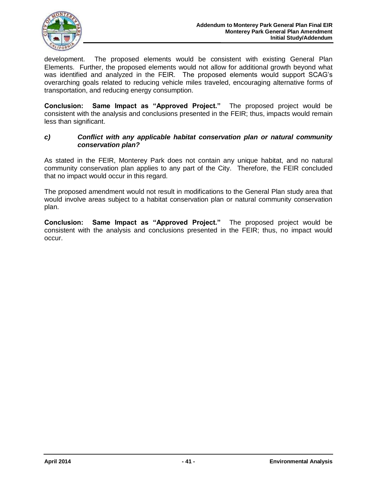

development. The proposed elements would be consistent with existing General Plan Elements. Further, the proposed elements would not allow for additional growth beyond what was identified and analyzed in the FEIR. The proposed elements would support SCAG's overarching goals related to reducing vehicle miles traveled, encouraging alternative forms of transportation, and reducing energy consumption.

**Conclusion: Same Impact as "Approved Project."** The proposed project would be consistent with the analysis and conclusions presented in the FEIR; thus, impacts would remain less than significant.

#### *c) Conflict with any applicable habitat conservation plan or natural community conservation plan?*

As stated in the FEIR, Monterey Park does not contain any unique habitat, and no natural community conservation plan applies to any part of the City. Therefore, the FEIR concluded that no impact would occur in this regard.

The proposed amendment would not result in modifications to the General Plan study area that would involve areas subject to a habitat conservation plan or natural community conservation plan.

**Conclusion: Same Impact as "Approved Project."** The proposed project would be consistent with the analysis and conclusions presented in the FEIR; thus, no impact would occur.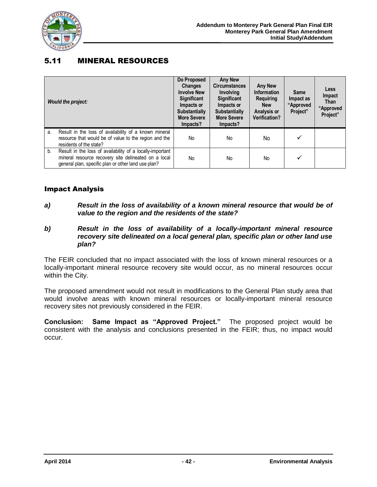

# 5.11 MINERAL RESOURCES

|    | <b>Would the project:</b>                                                                                                                                                | Do Proposed<br><b>Changes</b><br><b>Involve New</b><br><b>Significant</b><br>Impacts or<br><b>Substantially</b><br><b>More Severe</b><br>Impacts? | <b>Any New</b><br><b>Circumstances</b><br><b>Involving</b><br>Significant<br>Impacts or<br><b>Substantially</b><br><b>More Severe</b><br>Impacts? | <b>Any New</b><br><b>Information</b><br><b>Requiring</b><br><b>New</b><br>Analysis or<br><b>Verification?</b> | <b>Same</b><br>Impact as<br>"Approved<br>Project" | <b>Less</b><br>Impact<br><b>Than</b><br>"Approved<br>Project" |
|----|--------------------------------------------------------------------------------------------------------------------------------------------------------------------------|---------------------------------------------------------------------------------------------------------------------------------------------------|---------------------------------------------------------------------------------------------------------------------------------------------------|---------------------------------------------------------------------------------------------------------------|---------------------------------------------------|---------------------------------------------------------------|
| a. | Result in the loss of availability of a known mineral<br>resource that would be of value to the region and the<br>residents of the state?                                | No                                                                                                                                                | No                                                                                                                                                | No                                                                                                            |                                                   |                                                               |
| b. | Result in the loss of availability of a locally-important<br>mineral resource recovery site delineated on a local<br>general plan, specific plan or other land use plan? | No                                                                                                                                                | No                                                                                                                                                | N <sub>o</sub>                                                                                                |                                                   |                                                               |

### Impact Analysis

*a) Result in the loss of availability of a known mineral resource that would be of value to the region and the residents of the state?*

#### *b) Result in the loss of availability of a locally-important mineral resource recovery site delineated on a local general plan, specific plan or other land use plan?*

The FEIR concluded that no impact associated with the loss of known mineral resources or a locally-important mineral resource recovery site would occur, as no mineral resources occur within the City.

The proposed amendment would not result in modifications to the General Plan study area that would involve areas with known mineral resources or locally-important mineral resource recovery sites not previously considered in the FEIR.

**Conclusion: Same Impact as "Approved Project."** The proposed project would be consistent with the analysis and conclusions presented in the FEIR; thus, no impact would occur.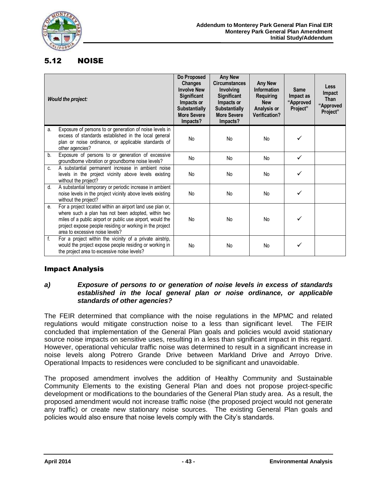

# 5.12 NOISE

|         | <b>Would the project:</b>                                                                                                                                                                                                                                                    | Do Proposed<br><b>Changes</b><br><b>Involve New</b><br><b>Significant</b><br>Impacts or<br><b>Substantially</b><br><b>More Severe</b><br>Impacts? | <b>Any New</b><br><b>Circumstances</b><br><b>Involving</b><br><b>Significant</b><br>Impacts or<br><b>Substantially</b><br><b>More Severe</b><br>Impacts? | <b>Any New</b><br>Information<br><b>Requiring</b><br><b>New</b><br>Analysis or<br><b>Verification?</b> | <b>Same</b><br>Impact as<br>"Approved<br>Project" | <b>Less</b><br>Impact<br><b>Than</b><br>"Approved<br>Project" |
|---------|------------------------------------------------------------------------------------------------------------------------------------------------------------------------------------------------------------------------------------------------------------------------------|---------------------------------------------------------------------------------------------------------------------------------------------------|----------------------------------------------------------------------------------------------------------------------------------------------------------|--------------------------------------------------------------------------------------------------------|---------------------------------------------------|---------------------------------------------------------------|
| a.      | Exposure of persons to or generation of noise levels in<br>excess of standards established in the local general<br>plan or noise ordinance, or applicable standards of<br>other agencies?                                                                                    | <b>No</b>                                                                                                                                         | No                                                                                                                                                       | N <sub>o</sub>                                                                                         | ✓                                                 |                                                               |
| b.      | Exposure of persons to or generation of excessive<br>groundborne vibration or groundborne noise levels?                                                                                                                                                                      | No                                                                                                                                                | No                                                                                                                                                       | <b>No</b>                                                                                              | ✓                                                 |                                                               |
| $C_{1}$ | A substantial permanent increase in ambient noise<br>levels in the project vicinity above levels existing<br>without the project?                                                                                                                                            | <b>No</b>                                                                                                                                         | No                                                                                                                                                       | No.                                                                                                    |                                                   |                                                               |
| d.      | A substantial temporary or periodic increase in ambient<br>noise levels in the project vicinity above levels existing<br>without the project?                                                                                                                                | No                                                                                                                                                | No                                                                                                                                                       | No.                                                                                                    |                                                   |                                                               |
| е.      | For a project located within an airport land use plan or,<br>where such a plan has not been adopted, within two<br>miles of a public airport or public use airport, would the<br>project expose people residing or working in the project<br>area to excessive noise levels? | <b>No</b>                                                                                                                                         | <b>No</b>                                                                                                                                                | <b>No</b>                                                                                              |                                                   |                                                               |
| f.      | For a project within the vicinity of a private airstrip,<br>would the project expose people residing or working in<br>the project area to excessive noise levels?                                                                                                            | No                                                                                                                                                | No                                                                                                                                                       | N <sub>o</sub>                                                                                         |                                                   |                                                               |

### Impact Analysis

#### *a) Exposure of persons to or generation of noise levels in excess of standards established in the local general plan or noise ordinance, or applicable standards of other agencies?*

The FEIR determined that compliance with the noise regulations in the MPMC and related regulations would mitigate construction noise to a less than significant level. The FEIR concluded that implementation of the General Plan goals and policies would avoid stationary source noise impacts on sensitive uses, resulting in a less than significant impact in this regard. However, operational vehicular traffic noise was determined to result in a significant increase in noise levels along Potrero Grande Drive between Markland Drive and Arroyo Drive. Operational Impacts to residences were concluded to be significant and unavoidable.

The proposed amendment involves the addition of Healthy Community and Sustainable Community Elements to the existing General Plan and does not propose project-specific development or modifications to the boundaries of the General Plan study area. As a result, the proposed amendment would not increase traffic noise (the proposed project would not generate any traffic) or create new stationary noise sources. The existing General Plan goals and policies would also ensure that noise levels comply with the City's standards.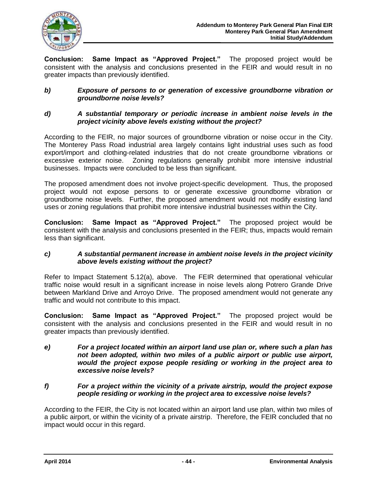

**Conclusion: Same Impact as "Approved Project."** The proposed project would be consistent with the analysis and conclusions presented in the FEIR and would result in no greater impacts than previously identified.

#### *b) Exposure of persons to or generation of excessive groundborne vibration or groundborne noise levels?*

#### *d) A substantial temporary or periodic increase in ambient noise levels in the project vicinity above levels existing without the project?*

According to the FEIR, no major sources of groundborne vibration or noise occur in the City. The Monterey Pass Road industrial area largely contains light industrial uses such as food export/import and clothing-related industries that do not create groundborne vibrations or excessive exterior noise. Zoning regulations generally prohibit more intensive industrial businesses. Impacts were concluded to be less than significant.

The proposed amendment does not involve project-specific development. Thus, the proposed project would not expose persons to or generate excessive groundborne vibration or groundborne noise levels. Further, the proposed amendment would not modify existing land uses or zoning regulations that prohibit more intensive industrial businesses within the City.

**Conclusion: Same Impact as "Approved Project."** The proposed project would be consistent with the analysis and conclusions presented in the FEIR; thus, impacts would remain less than significant.

#### *c) A substantial permanent increase in ambient noise levels in the project vicinity above levels existing without the project?*

Refer to Impact Statement 5.12(a), above. The FEIR determined that operational vehicular traffic noise would result in a significant increase in noise levels along Potrero Grande Drive between Markland Drive and Arroyo Drive. The proposed amendment would not generate any traffic and would not contribute to this impact.

**Conclusion: Same Impact as "Approved Project."** The proposed project would be consistent with the analysis and conclusions presented in the FEIR and would result in no greater impacts than previously identified.

- *e) For a project located within an airport land use plan or, where such a plan has not been adopted, within two miles of a public airport or public use airport, would the project expose people residing or working in the project area to excessive noise levels?*
- *f) For a project within the vicinity of a private airstrip, would the project expose people residing or working in the project area to excessive noise levels?*

According to the FEIR, the City is not located within an airport land use plan, within two miles of a public airport, or within the vicinity of a private airstrip. Therefore, the FEIR concluded that no impact would occur in this regard.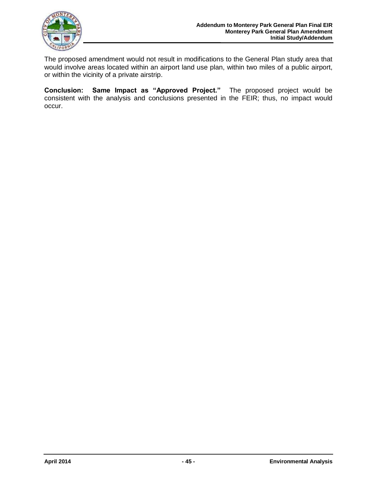

The proposed amendment would not result in modifications to the General Plan study area that would involve areas located within an airport land use plan, within two miles of a public airport, or within the vicinity of a private airstrip.

**Conclusion: Same Impact as "Approved Project."** The proposed project would be consistent with the analysis and conclusions presented in the FEIR; thus, no impact would occur.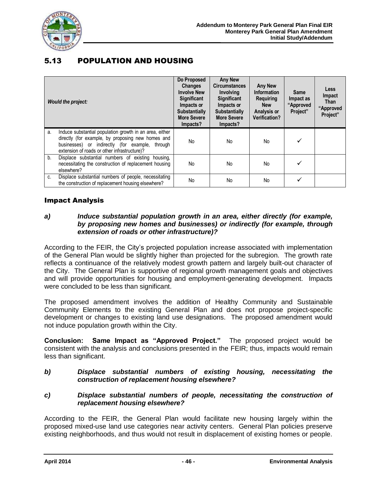

# 5.13 POPULATION AND HOUSING

|    | <b>Would the project:</b>                                                                                                                                                                                          | <b>Do Proposed</b><br><b>Changes</b><br><b>Involve New</b><br><b>Significant</b><br>Impacts or<br><b>Substantially</b><br><b>More Severe</b><br>Impacts? | <b>Any New</b><br><b>Circumstances</b><br><b>Involving</b><br><b>Significant</b><br>Impacts or<br><b>Substantially</b><br><b>More Severe</b><br>Impacts? | <b>Any New</b><br><b>Information</b><br><b>Requiring</b><br><b>New</b><br>Analysis or<br><b>Verification?</b> | <b>Same</b><br>Impact as<br>"Approved<br>Project" | <b>Less</b><br>Impact<br><b>Than</b><br>"Approved<br>Project" |
|----|--------------------------------------------------------------------------------------------------------------------------------------------------------------------------------------------------------------------|----------------------------------------------------------------------------------------------------------------------------------------------------------|----------------------------------------------------------------------------------------------------------------------------------------------------------|---------------------------------------------------------------------------------------------------------------|---------------------------------------------------|---------------------------------------------------------------|
| a. | Induce substantial population growth in an area, either<br>directly (for example, by proposing new homes and<br>businesses) or indirectly (for example,<br>throuah<br>extension of roads or other infrastructure)? | N <sub>o</sub>                                                                                                                                           | No                                                                                                                                                       | No                                                                                                            |                                                   |                                                               |
| b. | Displace substantial numbers of existing housing.<br>necessitating the construction of replacement housing<br>elsewhere?                                                                                           | No                                                                                                                                                       | No                                                                                                                                                       | No                                                                                                            |                                                   |                                                               |
| C. | Displace substantial numbers of people, necessitating<br>the construction of replacement housing elsewhere?                                                                                                        | No                                                                                                                                                       | No                                                                                                                                                       | No                                                                                                            |                                                   |                                                               |

#### Impact Analysis

#### *a) Induce substantial population growth in an area, either directly (for example, by proposing new homes and businesses) or indirectly (for example, through extension of roads or other infrastructure)?*

According to the FEIR, the City's projected population increase associated with implementation of the General Plan would be slightly higher than projected for the subregion. The growth rate reflects a continuance of the relatively modest growth pattern and largely built-out character of the City. The General Plan is supportive of regional growth management goals and objectives and will provide opportunities for housing and employment-generating development. Impacts were concluded to be less than significant.

The proposed amendment involves the addition of Healthy Community and Sustainable Community Elements to the existing General Plan and does not propose project-specific development or changes to existing land use designations. The proposed amendment would not induce population growth within the City.

**Conclusion: Same Impact as "Approved Project."** The proposed project would be consistent with the analysis and conclusions presented in the FEIR; thus, impacts would remain less than significant.

#### *b) Displace substantial numbers of existing housing, necessitating the construction of replacement housing elsewhere?*

#### *c) Displace substantial numbers of people, necessitating the construction of replacement housing elsewhere?*

According to the FEIR, the General Plan would facilitate new housing largely within the proposed mixed-use land use categories near activity centers. General Plan policies preserve existing neighborhoods, and thus would not result in displacement of existing homes or people.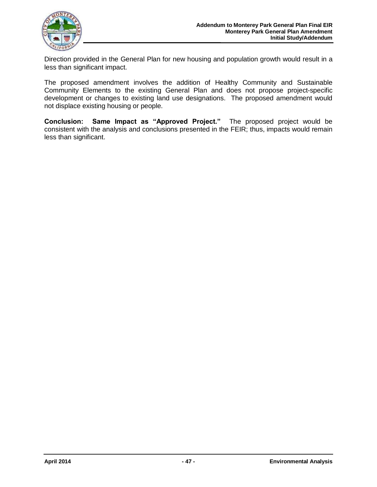

Direction provided in the General Plan for new housing and population growth would result in a less than significant impact.

The proposed amendment involves the addition of Healthy Community and Sustainable Community Elements to the existing General Plan and does not propose project-specific development or changes to existing land use designations. The proposed amendment would not displace existing housing or people.

**Conclusion: Same Impact as "Approved Project."** The proposed project would be consistent with the analysis and conclusions presented in the FEIR; thus, impacts would remain less than significant.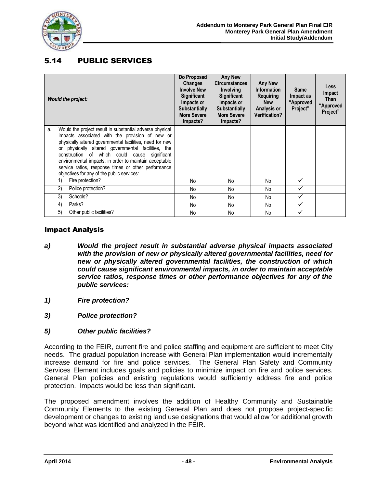

# 5.14 PUBLIC SERVICES

| <b>Would the project:</b>                                                                                                                                                                                                                                                                                                                                                                                                                           | Do Proposed<br><b>Changes</b><br><b>Involve New</b><br><b>Significant</b><br>Impacts or<br><b>Substantially</b><br><b>More Severe</b><br>Impacts? | <b>Any New</b><br><b>Circumstances</b><br><b>Involving</b><br><b>Significant</b><br>Impacts or<br><b>Substantially</b><br><b>More Severe</b><br>Impacts? | <b>Any New</b><br><b>Information</b><br><b>Requiring</b><br><b>New</b><br>Analysis or<br><b>Verification?</b> | Same<br>Impact as<br>"Approved<br>Project" | <b>Less</b><br>Impact<br>Than<br>"Approved<br>Project" |
|-----------------------------------------------------------------------------------------------------------------------------------------------------------------------------------------------------------------------------------------------------------------------------------------------------------------------------------------------------------------------------------------------------------------------------------------------------|---------------------------------------------------------------------------------------------------------------------------------------------------|----------------------------------------------------------------------------------------------------------------------------------------------------------|---------------------------------------------------------------------------------------------------------------|--------------------------------------------|--------------------------------------------------------|
| Would the project result in substantial adverse physical<br>a.<br>impacts associated with the provision of new or<br>physically altered governmental facilities, need for new<br>or physically altered governmental facilities, the<br>construction of which could cause significant<br>environmental impacts, in order to maintain acceptable<br>service ratios, response times or other performance<br>objectives for any of the public services: |                                                                                                                                                   |                                                                                                                                                          |                                                                                                               |                                            |                                                        |
| Fire protection?<br>1)                                                                                                                                                                                                                                                                                                                                                                                                                              | No                                                                                                                                                | No                                                                                                                                                       | No.                                                                                                           | ✓                                          |                                                        |
| 2)<br>Police protection?                                                                                                                                                                                                                                                                                                                                                                                                                            | No.                                                                                                                                               | No                                                                                                                                                       | No.                                                                                                           |                                            |                                                        |
| 3)<br>Schools?                                                                                                                                                                                                                                                                                                                                                                                                                                      | No                                                                                                                                                | No                                                                                                                                                       | No.                                                                                                           |                                            |                                                        |
| 4)<br>Parks?                                                                                                                                                                                                                                                                                                                                                                                                                                        | No                                                                                                                                                | No                                                                                                                                                       | No                                                                                                            | ✓                                          |                                                        |
| 5)<br>Other public facilities?                                                                                                                                                                                                                                                                                                                                                                                                                      | No                                                                                                                                                | No                                                                                                                                                       | No                                                                                                            |                                            |                                                        |

### Impact Analysis

- *a) Would the project result in substantial adverse physical impacts associated with the provision of new or physically altered governmental facilities, need for new or physically altered governmental facilities, the construction of which could cause significant environmental impacts, in order to maintain acceptable service ratios, response times or other performance objectives for any of the public services:*
- *1) Fire protection?*
- *3) Police protection?*

### *5) Other public facilities?*

According to the FEIR, current fire and police staffing and equipment are sufficient to meet City needs. The gradual population increase with General Plan implementation would incrementally increase demand for fire and police services. The General Plan Safety and Community Services Element includes goals and policies to minimize impact on fire and police services. General Plan policies and existing regulations would sufficiently address fire and police protection. Impacts would be less than significant.

The proposed amendment involves the addition of Healthy Community and Sustainable Community Elements to the existing General Plan and does not propose project-specific development or changes to existing land use designations that would allow for additional growth beyond what was identified and analyzed in the FEIR.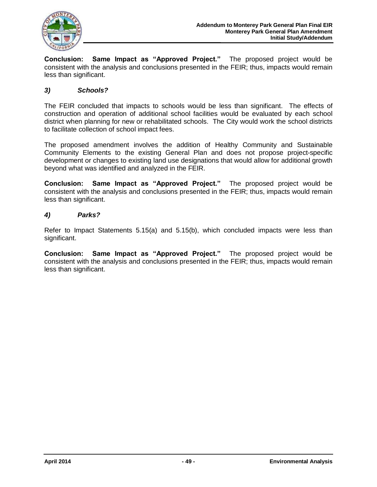

**Conclusion: Same Impact as "Approved Project."** The proposed project would be consistent with the analysis and conclusions presented in the FEIR; thus, impacts would remain less than significant.

#### *3) Schools?*

The FEIR concluded that impacts to schools would be less than significant. The effects of construction and operation of additional school facilities would be evaluated by each school district when planning for new or rehabilitated schools. The City would work the school districts to facilitate collection of school impact fees.

The proposed amendment involves the addition of Healthy Community and Sustainable Community Elements to the existing General Plan and does not propose project-specific development or changes to existing land use designations that would allow for additional growth beyond what was identified and analyzed in the FEIR.

**Conclusion: Same Impact as "Approved Project."** The proposed project would be consistent with the analysis and conclusions presented in the FEIR; thus, impacts would remain less than significant.

#### *4) Parks?*

Refer to Impact Statements 5.15(a) and 5.15(b), which concluded impacts were less than significant.

**Conclusion: Same Impact as "Approved Project."** The proposed project would be consistent with the analysis and conclusions presented in the FEIR; thus, impacts would remain less than significant.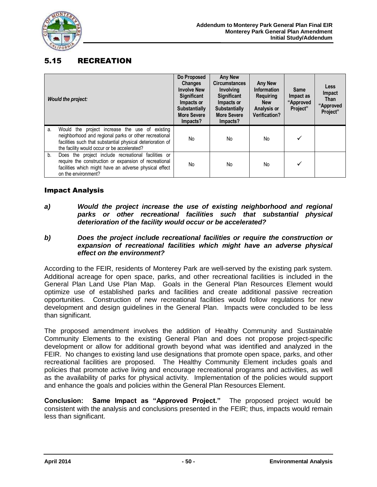

# 5.15 RECREATION

|    | <b>Would the project:</b>                                                                                                                                                                                            | Do Proposed<br><b>Changes</b><br><b>Involve New</b><br><b>Significant</b><br>Impacts or<br><b>Substantially</b><br><b>More Severe</b><br>Impacts? | <b>Any New</b><br><b>Circumstances</b><br><b>Involving</b><br><b>Significant</b><br>Impacts or<br><b>Substantially</b><br><b>More Severe</b><br>Impacts? | <b>Any New</b><br><b>Information</b><br>Requiring<br><b>New</b><br>Analysis or<br><b>Verification?</b> | <b>Same</b><br>Impact as<br>"Approved<br>Project" | <b>Less</b><br>Impact<br><b>Than</b><br>"Approved<br>Project" |
|----|----------------------------------------------------------------------------------------------------------------------------------------------------------------------------------------------------------------------|---------------------------------------------------------------------------------------------------------------------------------------------------|----------------------------------------------------------------------------------------------------------------------------------------------------------|--------------------------------------------------------------------------------------------------------|---------------------------------------------------|---------------------------------------------------------------|
| a. | Would the project increase the use of existing<br>neighborhood and regional parks or other recreational<br>facilities such that substantial physical deterioration of<br>the facility would occur or be accelerated? | No                                                                                                                                                | No                                                                                                                                                       | N <sub>o</sub>                                                                                         |                                                   |                                                               |
| b. | Does the project include recreational facilities or<br>require the construction or expansion of recreational<br>facilities which might have an adverse physical effect<br>on the environment?                        | No                                                                                                                                                | No                                                                                                                                                       | N <sub>o</sub>                                                                                         |                                                   |                                                               |

### Impact Analysis

*a) Would the project increase the use of existing neighborhood and regional parks or other recreational facilities such that substantial physical deterioration of the facility would occur or be accelerated?*

#### *b) Does the project include recreational facilities or require the construction or*  expansion of recreational facilities which might have an adverse physical *effect on the environment?*

According to the FEIR, residents of Monterey Park are well-served by the existing park system. Additional acreage for open space, parks, and other recreational facilities is included in the General Plan Land Use Plan Map. Goals in the General Plan Resources Element would optimize use of established parks and facilities and create additional passive recreation opportunities. Construction of new recreational facilities would follow regulations for new development and design guidelines in the General Plan. Impacts were concluded to be less than significant.

The proposed amendment involves the addition of Healthy Community and Sustainable Community Elements to the existing General Plan and does not propose project-specific development or allow for additional growth beyond what was identified and analyzed in the FEIR. No changes to existing land use designations that promote open space, parks, and other recreational facilities are proposed. The Healthy Community Element includes goals and policies that promote active living and encourage recreational programs and activities, as well as the availability of parks for physical activity. Implementation of the policies would support and enhance the goals and policies within the General Plan Resources Element.

**Conclusion: Same Impact as "Approved Project."** The proposed project would be consistent with the analysis and conclusions presented in the FEIR; thus, impacts would remain less than significant.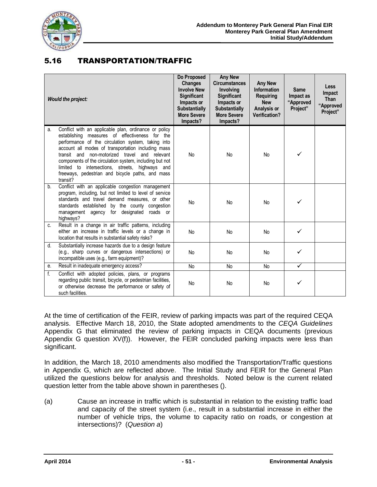

# 5.16 TRANSPORTATION/TRAFFIC

|    | <b>Would the project:</b>                                                                                                                                                                                                                                                                                                                                                                                                                          | Do Proposed<br><b>Changes</b><br><b>Involve New</b><br><b>Significant</b><br>Impacts or<br><b>Substantially</b><br><b>More Severe</b><br>Impacts? | <b>Any New</b><br><b>Circumstances</b><br>Involving<br><b>Significant</b><br>Impacts or<br><b>Substantially</b><br><b>More Severe</b><br>Impacts? | <b>Any New</b><br>Information<br><b>Requiring</b><br><b>New</b><br>Analysis or<br><b>Verification?</b> | <b>Same</b><br>Impact as<br>"Approved<br>Project" | <b>Less</b><br>Impact<br>Than<br>"Approved<br>Project" |
|----|----------------------------------------------------------------------------------------------------------------------------------------------------------------------------------------------------------------------------------------------------------------------------------------------------------------------------------------------------------------------------------------------------------------------------------------------------|---------------------------------------------------------------------------------------------------------------------------------------------------|---------------------------------------------------------------------------------------------------------------------------------------------------|--------------------------------------------------------------------------------------------------------|---------------------------------------------------|--------------------------------------------------------|
| a. | Conflict with an applicable plan, ordinance or policy<br>establishing measures of effectiveness for the<br>performance of the circulation system, taking into<br>account all modes of transportation including mass<br>transit and non-motorized travel and relevant<br>components of the circulation system, including but not<br>limited to intersections, streets, highways and<br>freeways, pedestrian and bicycle paths, and mass<br>transit? | No                                                                                                                                                | No                                                                                                                                                | No                                                                                                     | ✓                                                 |                                                        |
| b. | Conflict with an applicable congestion management<br>program, including, but not limited to level of service<br>standards and travel demand measures, or other<br>standards established by the county congestion<br>management agency for designated<br>roads or<br>highways?                                                                                                                                                                      | No                                                                                                                                                | No                                                                                                                                                | No                                                                                                     |                                                   |                                                        |
| C. | Result in a change in air traffic patterns, including<br>either an increase in traffic levels or a change in<br>location that results in substantial safety risks?                                                                                                                                                                                                                                                                                 | <b>No</b>                                                                                                                                         | <b>No</b>                                                                                                                                         | <b>No</b>                                                                                              | ✓                                                 |                                                        |
| d. | Substantially increase hazards due to a design feature<br>(e.g., sharp curves or dangerous intersections) or<br>incompatible uses (e.g., farm equipment)?                                                                                                                                                                                                                                                                                          | No                                                                                                                                                | No                                                                                                                                                | No                                                                                                     | ✓                                                 |                                                        |
| е. | Result in inadequate emergency access?                                                                                                                                                                                                                                                                                                                                                                                                             | <b>No</b>                                                                                                                                         | <b>No</b>                                                                                                                                         | <b>No</b>                                                                                              | $\checkmark$                                      |                                                        |
| f. | Conflict with adopted policies, plans, or programs<br>regarding public transit, bicycle, or pedestrian facilities,<br>or otherwise decrease the performance or safety of<br>such facilities.                                                                                                                                                                                                                                                       | <b>No</b>                                                                                                                                         | No                                                                                                                                                | No                                                                                                     |                                                   |                                                        |

At the time of certification of the FEIR, review of parking impacts was part of the required CEQA analysis. Effective March 18, 2010, the State adopted amendments to the *CEQA Guidelines* Appendix G that eliminated the review of parking impacts in CEQA documents (previous Appendix G question XV(f)). However, the FEIR concluded parking impacts were less than significant.

In addition, the March 18, 2010 amendments also modified the Transportation/Traffic questions in Appendix G, which are reflected above. The Initial Study and FEIR for the General Plan utilized the questions below for analysis and thresholds. Noted below is the current related question letter from the table above shown in parentheses ().

(a) Cause an increase in traffic which is substantial in relation to the existing traffic load and capacity of the street system (i.e., result in a substantial increase in either the number of vehicle trips, the volume to capacity ratio on roads, or congestion at intersections)? (*Question a*)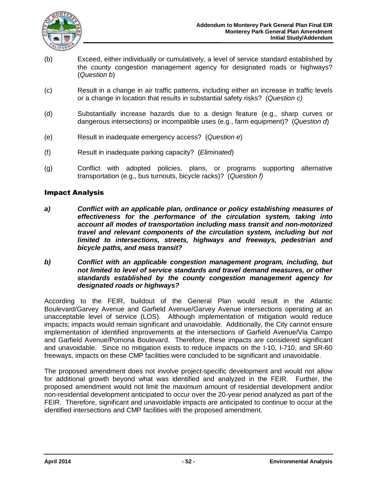

- (b) Exceed, either individually or cumulatively, a level of service standard established by the county congestion management agency for designated roads or highways? (*Question b*)
- (c) Result in a change in air traffic patterns, including either an increase in traffic levels or a change in location that results in substantial safety risks? (*Question c)*
- (d) Substantially increase hazards due to a design feature (e.g., sharp curves or dangerous intersections) or incompatible uses (e.g., farm equipment)? (*Question d*)
- (e) Result in inadequate emergency access? (*Question e*)
- (f) Result in inadequate parking capacity? (*Eliminated*)
- (g) Conflict with adopted policies, plans, or programs supporting alternative transportation (e.g., bus turnouts, bicycle racks)? (*Question f)*

#### Impact Analysis

- *a) Conflict with an applicable plan, ordinance or policy establishing measures of effectiveness for the performance of the circulation system, taking into account all modes of transportation including mass transit and non-motorized travel and relevant components of the circulation system, including but not limited to intersections, streets, highways and freeways, pedestrian and bicycle paths, and mass transit?*
- *b) Conflict with an applicable congestion management program, including, but not limited to level of service standards and travel demand measures, or other standards established by the county congestion management agency for designated roads or highways?*

According to the FEIR, buildout of the General Plan would result in the Atlantic Boulevard/Garvey Avenue and Garfield Avenue/Garvey Avenue intersections operating at an unacceptable level of service (LOS). Although implementation of mitigation would reduce impacts; impacts would remain significant and unavoidable. Additionally, the City cannot ensure implementation of identified improvements at the intersections of Garfield Avenue/Via Campo and Garfield Avenue/Pomona Boulevard. Therefore, these impacts are considered significant and unavoidable. Since no mitigation exists to reduce impacts on the I-10, I-710, and SR-60 freeways, impacts on these CMP facilities were concluded to be significant and unavoidable.

The proposed amendment does not involve project-specific development and would not allow for additional growth beyond what was identified and analyzed in the FEIR. Further, the proposed amendment would not limit the maximum amount of residential development and/or non-residential development anticipated to occur over the 20-year period analyzed as part of the FEIR. Therefore, significant and unavoidable impacts are anticipated to continue to occur at the identified intersections and CMP facilities with the proposed amendment.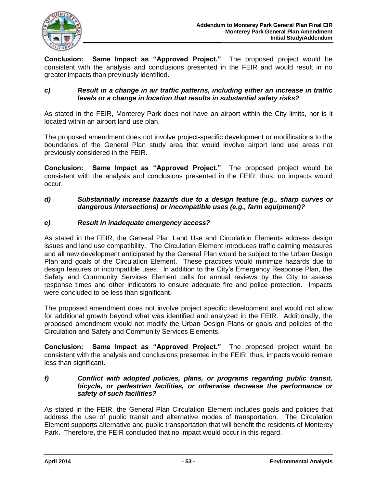

**Conclusion: Same Impact as "Approved Project."** The proposed project would be consistent with the analysis and conclusions presented in the FEIR and would result in no greater impacts than previously identified.

#### *c) Result in a change in air traffic patterns, including either an increase in traffic levels or a change in location that results in substantial safety risks?*

As stated in the FEIR, Monterey Park does not have an airport within the City limits, nor is it located within an airport land use plan.

The proposed amendment does not involve project-specific development or modifications to the boundaries of the General Plan study area that would involve airport land use areas not previously considered in the FEIR.

**Conclusion: Same Impact as "Approved Project."** The proposed project would be consistent with the analysis and conclusions presented in the FEIR; thus, no impacts would occur.

#### *d) Substantially increase hazards due to a design feature (e.g., sharp curves or dangerous intersections) or incompatible uses (e.g., farm equipment)?*

#### *e) Result in inadequate emergency access?*

As stated in the FEIR, the General Plan Land Use and Circulation Elements address design issues and land use compatibility. The Circulation Element introduces traffic calming measures and all new development anticipated by the General Plan would be subject to the Urban Design Plan and goals of the Circulation Element. These practices would minimize hazards due to design features or incompatible uses. In addition to the City's Emergency Response Plan, the Safety and Community Services Element calls for annual reviews by the City to assess response times and other indicators to ensure adequate fire and police protection. Impacts were concluded to be less than significant.

The proposed amendment does not involve project specific development and would not allow for additional growth beyond what was identified and analyzed in the FEIR. Additionally, the proposed amendment would not modify the Urban Design Plans or goals and policies of the Circulation and Safety and Community Services Elements.

**Conclusion: Same Impact as "Approved Project."** The proposed project would be consistent with the analysis and conclusions presented in the FEIR; thus, impacts would remain less than significant.

#### *f) Conflict with adopted policies, plans, or programs regarding public transit, bicycle, or pedestrian facilities, or otherwise decrease the performance or safety of such facilities?*

As stated in the FEIR, the General Plan Circulation Element includes goals and policies that address the use of public transit and alternative modes of transportation. The Circulation Element supports alternative and public transportation that will benefit the residents of Monterey Park. Therefore, the FEIR concluded that no impact would occur in this regard.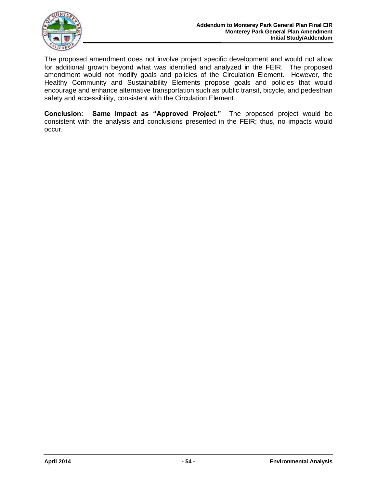

The proposed amendment does not involve project specific development and would not allow for additional growth beyond what was identified and analyzed in the FEIR. The proposed amendment would not modify goals and policies of the Circulation Element. However, the Healthy Community and Sustainability Elements propose goals and policies that would encourage and enhance alternative transportation such as public transit, bicycle, and pedestrian safety and accessibility, consistent with the Circulation Element.

**Conclusion: Same Impact as "Approved Project."** The proposed project would be consistent with the analysis and conclusions presented in the FEIR; thus, no impacts would occur.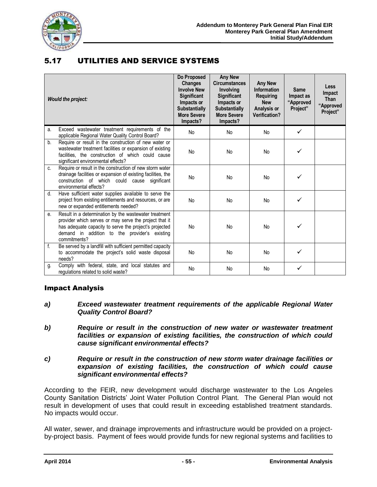

# 5.17 UTILITIES AND SERVICE SYSTEMS

|    | <b>Would the project:</b>                                                                                                                                                                                                                  | Do Proposed<br><b>Changes</b><br><b>Involve New</b><br><b>Significant</b><br>Impacts or<br><b>Substantially</b><br><b>More Severe</b><br>Impacts? | <b>Any New</b><br><b>Circumstances</b><br>Involving<br><b>Significant</b><br>Impacts or<br><b>Substantially</b><br><b>More Severe</b><br>Impacts? | <b>Any New</b><br><b>Information</b><br><b>Requiring</b><br><b>New</b><br>Analysis or<br><b>Verification?</b> | <b>Same</b><br>Impact as<br>"Approved<br>Project" | Less<br>Impact<br><b>Than</b><br>"Approved<br>Project" |
|----|--------------------------------------------------------------------------------------------------------------------------------------------------------------------------------------------------------------------------------------------|---------------------------------------------------------------------------------------------------------------------------------------------------|---------------------------------------------------------------------------------------------------------------------------------------------------|---------------------------------------------------------------------------------------------------------------|---------------------------------------------------|--------------------------------------------------------|
| a. | Exceed wastewater treatment requirements of the<br>applicable Regional Water Quality Control Board?                                                                                                                                        | No                                                                                                                                                | No.                                                                                                                                               | No.                                                                                                           | $\checkmark$                                      |                                                        |
| b. | Require or result in the construction of new water or<br>wastewater treatment facilities or expansion of existing<br>facilities, the construction of which could cause<br>significant environmental effects?                               | No                                                                                                                                                | No                                                                                                                                                | No                                                                                                            | ✓                                                 |                                                        |
| C. | Require or result in the construction of new storm water<br>drainage facilities or expansion of existing facilities, the<br>construction of which could cause significant<br>environmental effects?                                        | No                                                                                                                                                | No                                                                                                                                                | <b>No</b>                                                                                                     | ✓                                                 |                                                        |
| d. | Have sufficient water supplies available to serve the<br>project from existing entitlements and resources, or are<br>new or expanded entitlements needed?                                                                                  | <b>No</b>                                                                                                                                         | No                                                                                                                                                | No                                                                                                            | ✓                                                 |                                                        |
| е. | Result in a determination by the wastewater treatment<br>provider which serves or may serve the project that it<br>has adequate capacity to serve the project's projected<br>demand in addition to the provider's existing<br>commitments? | No                                                                                                                                                | No                                                                                                                                                | No                                                                                                            | ✓                                                 |                                                        |
| f. | Be served by a landfill with sufficient permitted capacity<br>to accommodate the project's solid waste disposal<br>needs?                                                                                                                  | <b>No</b>                                                                                                                                         | No                                                                                                                                                | No                                                                                                            | ✓                                                 |                                                        |
| g. | Comply with federal, state, and local statutes and<br>regulations related to solid waste?                                                                                                                                                  | <b>No</b>                                                                                                                                         | No                                                                                                                                                | No                                                                                                            | ✓                                                 |                                                        |

### Impact Analysis

- *a) Exceed wastewater treatment requirements of the applicable Regional Water Quality Control Board?*
- *b) Require or result in the construction of new water or wastewater treatment facilities or expansion of existing facilities, the construction of which could cause significant environmental effects?*
- *c) Require or result in the construction of new storm water drainage facilities or expansion of existing facilities, the construction of which could cause significant environmental effects?*

According to the FEIR, new development would discharge wastewater to the Los Angeles County Sanitation Districts' Joint Water Pollution Control Plant. The General Plan would not result in development of uses that could result in exceeding established treatment standards. No impacts would occur.

All water, sewer, and drainage improvements and infrastructure would be provided on a projectby-project basis. Payment of fees would provide funds for new regional systems and facilities to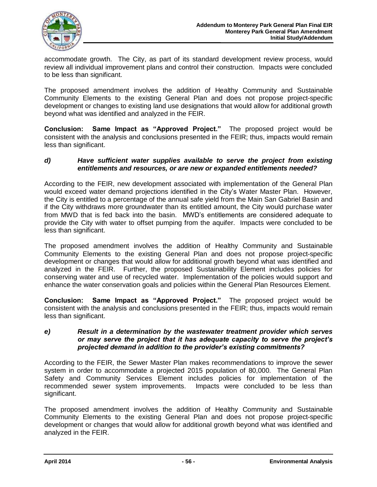

accommodate growth. The City, as part of its standard development review process, would review all individual improvement plans and control their construction. Impacts were concluded to be less than significant.

The proposed amendment involves the addition of Healthy Community and Sustainable Community Elements to the existing General Plan and does not propose project-specific development or changes to existing land use designations that would allow for additional growth beyond what was identified and analyzed in the FEIR.

**Conclusion: Same Impact as "Approved Project."** The proposed project would be consistent with the analysis and conclusions presented in the FEIR; thus, impacts would remain less than significant.

#### *d) Have sufficient water supplies available to serve the project from existing entitlements and resources, or are new or expanded entitlements needed?*

According to the FEIR, new development associated with implementation of the General Plan would exceed water demand projections identified in the City's Water Master Plan. However, the City is entitled to a percentage of the annual safe yield from the Main San Gabriel Basin and if the City withdraws more groundwater than its entitled amount, the City would purchase water from MWD that is fed back into the basin. MWD's entitlements are considered adequate to provide the City with water to offset pumping from the aquifer. Impacts were concluded to be less than significant.

The proposed amendment involves the addition of Healthy Community and Sustainable Community Elements to the existing General Plan and does not propose project-specific development or changes that would allow for additional growth beyond what was identified and analyzed in the FEIR. Further, the proposed Sustainability Element includes policies for conserving water and use of recycled water. Implementation of the policies would support and enhance the water conservation goals and policies within the General Plan Resources Element.

**Conclusion: Same Impact as "Approved Project."** The proposed project would be consistent with the analysis and conclusions presented in the FEIR; thus, impacts would remain less than significant.

#### *e) Result in a determination by the wastewater treatment provider which serves or may serve the project that it has adequate capacity to serve the project's projected demand in addition to the provider's existing commitments?*

According to the FEIR, the Sewer Master Plan makes recommendations to improve the sewer system in order to accommodate a projected 2015 population of 80,000. The General Plan Safety and Community Services Element includes policies for implementation of the recommended sewer system improvements. Impacts were concluded to be less than significant.

The proposed amendment involves the addition of Healthy Community and Sustainable Community Elements to the existing General Plan and does not propose project-specific development or changes that would allow for additional growth beyond what was identified and analyzed in the FEIR.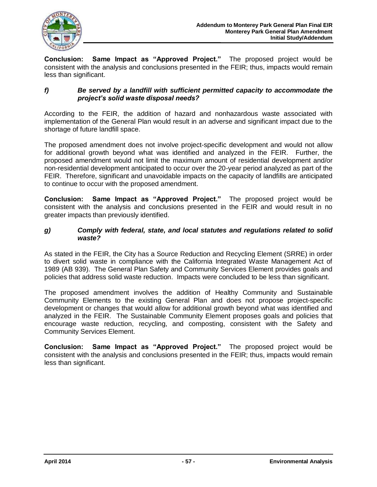

**Conclusion: Same Impact as "Approved Project."** The proposed project would be consistent with the analysis and conclusions presented in the FEIR; thus, impacts would remain less than significant.

#### *f) Be served by a landfill with sufficient permitted capacity to accommodate the project's solid waste disposal needs?*

According to the FEIR, the addition of hazard and nonhazardous waste associated with implementation of the General Plan would result in an adverse and significant impact due to the shortage of future landfill space.

The proposed amendment does not involve project-specific development and would not allow for additional growth beyond what was identified and analyzed in the FEIR. Further, the proposed amendment would not limit the maximum amount of residential development and/or non-residential development anticipated to occur over the 20-year period analyzed as part of the FEIR. Therefore, significant and unavoidable impacts on the capacity of landfills are anticipated to continue to occur with the proposed amendment.

**Conclusion: Same Impact as "Approved Project."** The proposed project would be consistent with the analysis and conclusions presented in the FEIR and would result in no greater impacts than previously identified.

#### *g) Comply with federal, state, and local statutes and regulations related to solid waste?*

As stated in the FEIR, the City has a Source Reduction and Recycling Element (SRRE) in order to divert solid waste in compliance with the California Integrated Waste Management Act of 1989 (AB 939). The General Plan Safety and Community Services Element provides goals and policies that address solid waste reduction. Impacts were concluded to be less than significant.

The proposed amendment involves the addition of Healthy Community and Sustainable Community Elements to the existing General Plan and does not propose project-specific development or changes that would allow for additional growth beyond what was identified and analyzed in the FEIR. The Sustainable Community Element proposes goals and policies that encourage waste reduction, recycling, and composting, consistent with the Safety and Community Services Element.

**Conclusion: Same Impact as "Approved Project."** The proposed project would be consistent with the analysis and conclusions presented in the FEIR; thus, impacts would remain less than significant.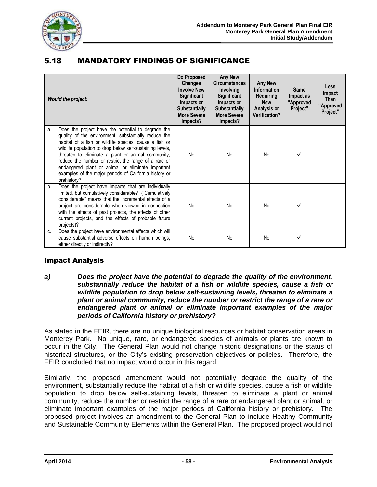

# 5.18 MANDATORY FINDINGS OF SIGNIFICANCE

| <b>Would the project:</b> |                                                                                                                                                                                                                                                                                                                                                                                                                                                                               | Do Proposed<br><b>Changes</b><br><b>Involve New</b><br><b>Significant</b><br>Impacts or<br><b>Substantially</b><br><b>More Severe</b><br>Impacts? | <b>Any New</b><br><b>Circumstances</b><br>Involving<br><b>Significant</b><br>Impacts or<br><b>Substantially</b><br><b>More Severe</b><br>Impacts? | <b>Any New</b><br><b>Information</b><br><b>Requiring</b><br><b>New</b><br>Analysis or<br><b>Verification?</b> | Same<br>Impact as<br>"Approved<br>Project" | <b>Less</b><br>Impact<br><b>Than</b><br>"Approved<br>Project" |
|---------------------------|-------------------------------------------------------------------------------------------------------------------------------------------------------------------------------------------------------------------------------------------------------------------------------------------------------------------------------------------------------------------------------------------------------------------------------------------------------------------------------|---------------------------------------------------------------------------------------------------------------------------------------------------|---------------------------------------------------------------------------------------------------------------------------------------------------|---------------------------------------------------------------------------------------------------------------|--------------------------------------------|---------------------------------------------------------------|
| a.                        | Does the project have the potential to degrade the<br>quality of the environment, substantially reduce the<br>habitat of a fish or wildlife species, cause a fish or<br>wildlife population to drop below self-sustaining levels,<br>threaten to eliminate a plant or animal community,<br>reduce the number or restrict the range of a rare or<br>endangered plant or animal or eliminate important<br>examples of the major periods of California history or<br>prehistory? | No                                                                                                                                                | No.                                                                                                                                               | <b>No</b>                                                                                                     |                                            |                                                               |
| b.                        | Does the project have impacts that are individually<br>limited, but cumulatively considerable? ("Cumulatively<br>considerable" means that the incremental effects of a<br>project are considerable when viewed in connection<br>with the effects of past projects, the effects of other<br>current projects, and the effects of probable future<br>projects)?                                                                                                                 | No                                                                                                                                                | No                                                                                                                                                | N <sub>o</sub>                                                                                                |                                            |                                                               |
| C.                        | Does the project have environmental effects which will<br>cause substantial adverse effects on human beings,<br>either directly or indirectly?                                                                                                                                                                                                                                                                                                                                | No                                                                                                                                                | No                                                                                                                                                | <b>No</b>                                                                                                     |                                            |                                                               |

### Impact Analysis

*a) Does the project have the potential to degrade the quality of the environment, substantially reduce the habitat of a fish or wildlife species, cause a fish or wildlife population to drop below self-sustaining levels, threaten to eliminate a plant or animal community, reduce the number or restrict the range of a rare or endangered plant or animal or eliminate important examples of the major periods of California history or prehistory?*

As stated in the FEIR, there are no unique biological resources or habitat conservation areas in Monterey Park. No unique, rare, or endangered species of animals or plants are known to occur in the City. The General Plan would not change historic designations or the status of historical structures, or the City's existing preservation objectives or policies. Therefore, the FEIR concluded that no impact would occur in this regard.

Similarly, the proposed amendment would not potentially degrade the quality of the environment, substantially reduce the habitat of a fish or wildlife species, cause a fish or wildlife population to drop below self-sustaining levels, threaten to eliminate a plant or animal community, reduce the number or restrict the range of a rare or endangered plant or animal, or eliminate important examples of the major periods of California history or prehistory. The proposed project involves an amendment to the General Plan to include Healthy Community and Sustainable Community Elements within the General Plan. The proposed project would not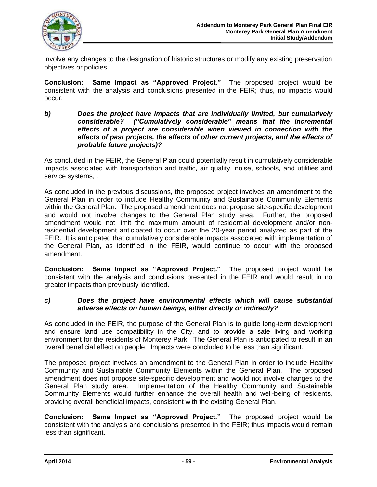

involve any changes to the designation of historic structures or modify any existing preservation objectives or policies.

**Conclusion: Same Impact as "Approved Project."** The proposed project would be consistent with the analysis and conclusions presented in the FEIR; thus, no impacts would occur.

*b) Does the project have impacts that are individually limited, but cumulatively considerable? ("Cumulatively considerable" means that the incremental effects of a project are considerable when viewed in connection with the effects of past projects, the effects of other current projects, and the effects of probable future projects)?* 

As concluded in the FEIR, the General Plan could potentially result in cumulatively considerable impacts associated with transportation and traffic, air quality, noise, schools, and utilities and service systems, .

As concluded in the previous discussions, the proposed project involves an amendment to the General Plan in order to include Healthy Community and Sustainable Community Elements within the General Plan. The proposed amendment does not propose site-specific development and would not involve changes to the General Plan study area. Further, the proposed amendment would not limit the maximum amount of residential development and/or nonresidential development anticipated to occur over the 20-year period analyzed as part of the FEIR. It is anticipated that cumulatively considerable impacts associated with implementation of the General Plan, as identified in the FEIR, would continue to occur with the proposed amendment.

**Conclusion: Same Impact as "Approved Project."** The proposed project would be consistent with the analysis and conclusions presented in the FEIR and would result in no greater impacts than previously identified.

#### *c) Does the project have environmental effects which will cause substantial adverse effects on human beings, either directly or indirectly?*

As concluded in the FEIR, the purpose of the General Plan is to guide long-term development and ensure land use compatibility in the City, and to provide a safe living and working environment for the residents of Monterey Park. The General Plan is anticipated to result in an overall beneficial effect on people. Impacts were concluded to be less than significant.

The proposed project involves an amendment to the General Plan in order to include Healthy Community and Sustainable Community Elements within the General Plan. The proposed amendment does not propose site-specific development and would not involve changes to the General Plan study area. Implementation of the Healthy Community and Sustainable Community Elements would further enhance the overall health and well-being of residents, providing overall beneficial impacts, consistent with the existing General Plan.

**Conclusion: Same Impact as "Approved Project."** The proposed project would be consistent with the analysis and conclusions presented in the FEIR; thus impacts would remain less than significant.